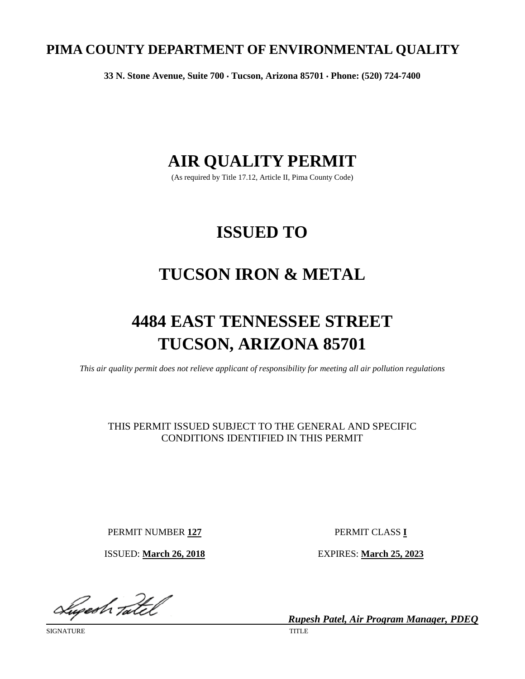# **PIMA COUNTY DEPARTMENT OF ENVIRONMENTAL QUALITY**

**33 N. Stone Avenue, Suite 700** • **Tucson, Arizona 85701** • **Phone: (520) 724-7400**

# **AIR QUALITY PERMIT**

(As required by Title 17.12, Article II, Pima County Code)

# **ISSUED TO**

# **TUCSON IRON & METAL**

# **4484 EAST TENNESSEE STREET TUCSON, ARIZONA 85701**

*This air quality permit does not relieve applicant of responsibility for meeting all air pollution regulations*

THIS PERMIT ISSUED SUBJECT TO THE GENERAL AND SPECIFIC CONDITIONS IDENTIFIED IN THIS PERMIT

PERMIT NUMBER 127 PERMIT CLASS I

Sugesh Tatel

SIGNATURE TITLE

ISSUED: **March 26, 2018** EXPIRES: **March 25, 2023**

*Rupesh Patel, Air Program Manager, PDEQ*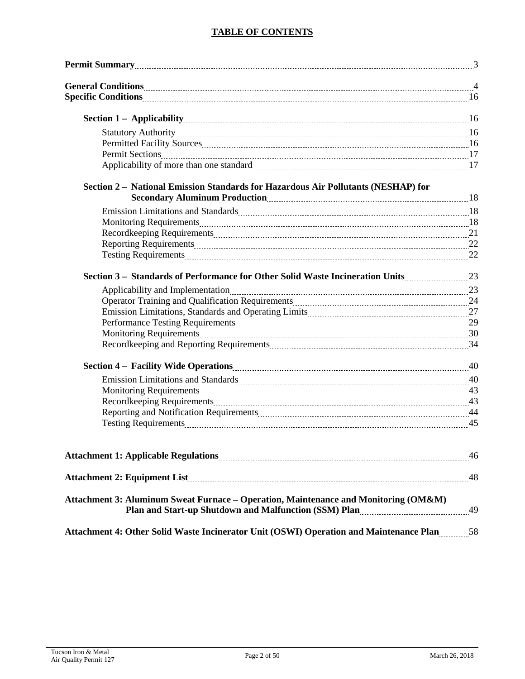## **TABLE OF CONTENTS**

| Permit Summary<br>3                                                                                                                                                                                                            |  |
|--------------------------------------------------------------------------------------------------------------------------------------------------------------------------------------------------------------------------------|--|
|                                                                                                                                                                                                                                |  |
|                                                                                                                                                                                                                                |  |
| <b>Section 1 - Applicability</b> 16                                                                                                                                                                                            |  |
|                                                                                                                                                                                                                                |  |
| Permitted Facility Sources 16 and 16 and 16 and 16 and 16 and 16 and 16 and 16 and 16 and 16 and 16 and 16 and 16 and 16 and 16 and 16 and 16 and 16 and 16 and 16 and 16 and 16 and 16 and 16 and 16 and 16 and 16 and 16 and |  |
|                                                                                                                                                                                                                                |  |
|                                                                                                                                                                                                                                |  |
| Section 2 - National Emission Standards for Hazardous Air Pollutants (NESHAP) for<br>Secondary Aluminum Production [18] Secondary Aluminum Production [18] Secondary Aluminum Production                                       |  |
| Emission Limitations and Standards Manual Manual Manual Manual Manual Manual Manual Manual Manual Manual Manua                                                                                                                 |  |
| Monitoring Requirements 2000 and 2000 and 2000 and 2000 and 2000 and 2000 and 2000 and 2000 and 2000 and 2000 and 2000 and 2000 and 2000 and 2000 and 2000 and 2000 and 2000 and 2000 and 2000 and 2000 and 2000 and 2000 and  |  |
|                                                                                                                                                                                                                                |  |
|                                                                                                                                                                                                                                |  |
|                                                                                                                                                                                                                                |  |
| Section 3 – Standards of Performance for Other Solid Waste Incineration Units23                                                                                                                                                |  |
| Applicability and Implementation 23                                                                                                                                                                                            |  |
| Operator Training and Qualification Requirements Material According to the 24                                                                                                                                                  |  |
|                                                                                                                                                                                                                                |  |
| Performance Testing Requirements Material Communications and the contract of the 29                                                                                                                                            |  |
| Monitoring Requirements 2000 and 2000 and 30 and 30 and 30 and 30 and 30 and 30 and 30 and 30 and 30 and 30 and 30 and 30 and 30 and 30 and 30 and 30 and 30 and 30 and 30 and 30 and 30 and 30 and 30 and 30 and 30 and 30 an |  |
| Recordkeeping and Reporting Requirements [11] The Recordkeeping and Reporting Requirements [11] The Recordkeeping and Reporting Requirements [11] The Recordkeeping and Reporting Requirements [11] The Record Recording Requi |  |
|                                                                                                                                                                                                                                |  |
| Emission Limitations and Standards Manual Manual Manual Manual Manual Manual Manual Manual Manual Manual Manua                                                                                                                 |  |
| Monitoring Requirements 23 AM and 23 AM and 23 AM and 23 AM and 24 AM and 25 AM and 24 AM and 25 AM and 25 AM and 25 AM and 25 AM and 25 AM and 25 AM and 25 AM and 25 AM and 25 AM and 25 AM and 25 AM and 25 AM and 25 AM an |  |
|                                                                                                                                                                                                                                |  |
|                                                                                                                                                                                                                                |  |
|                                                                                                                                                                                                                                |  |
|                                                                                                                                                                                                                                |  |
|                                                                                                                                                                                                                                |  |
| <b>Attachment 3: Aluminum Sweat Furnace – Operation, Maintenance and Monitoring (OM&amp;M)</b><br>Plan and Start-up Shutdown and Malfunction (SSM) Plan manufactured and Malfunction (SSM) Plan                                |  |
| Attachment 4: Other Solid Waste Incinerator Unit (OSWI) Operation and Maintenance Plan                                                                                                                                         |  |
|                                                                                                                                                                                                                                |  |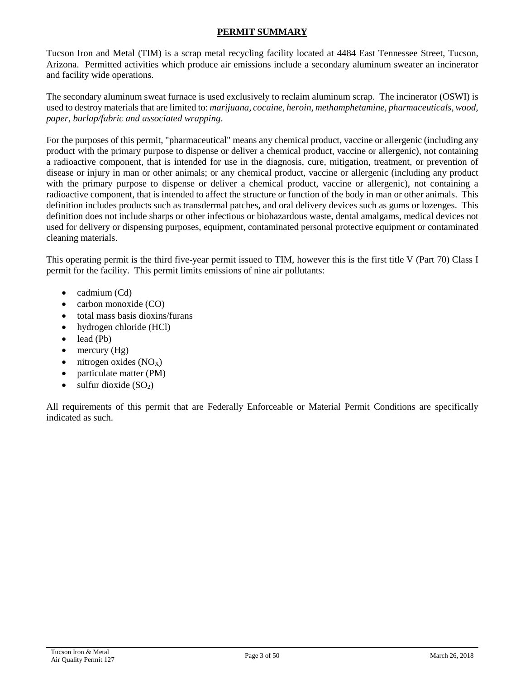#### **PERMIT SUMMARY**

Tucson Iron and Metal (TIM) is a scrap metal recycling facility located at 4484 East Tennessee Street, Tucson, Arizona. Permitted activities which produce air emissions include a secondary aluminum sweater an incinerator and facility wide operations.

The secondary aluminum sweat furnace is used exclusively to reclaim aluminum scrap. The incinerator (OSWI) is used to destroy materials that are limited to: *marijuana, cocaine, heroin, methamphetamine, pharmaceuticals, wood, paper, burlap/fabric and associated wrapping*.

For the purposes of this permit, "pharmaceutical" means any chemical product, vaccine or allergenic (including any product with the primary purpose to dispense or deliver a chemical product, vaccine or allergenic), not containing a radioactive component, that is intended for use in the diagnosis, cure, mitigation, treatment, or prevention of disease or injury in man or other animals; or any chemical product, vaccine or allergenic (including any product with the primary purpose to dispense or deliver a chemical product, vaccine or allergenic), not containing a radioactive component, that is intended to affect the structure or function of the body in man or other animals. This definition includes products such as transdermal patches, and oral delivery devices such as gums or lozenges. This definition does not include sharps or other infectious or biohazardous waste, dental amalgams, medical devices not used for delivery or dispensing purposes, equipment, contaminated personal protective equipment or contaminated cleaning materials.

This operating permit is the third five-year permit issued to TIM, however this is the first title V (Part 70) Class I permit for the facility. This permit limits emissions of nine air pollutants:

- cadmium (Cd)
- carbon monoxide (CO)
- total mass basis dioxins/furans
- hydrogen chloride (HCl)
- lead (Pb)
- mercury  $(Hg)$
- nitrogen oxides  $(NO<sub>X</sub>)$
- particulate matter (PM)
- sulfur dioxide  $(SO<sub>2</sub>)$

All requirements of this permit that are Federally Enforceable or Material Permit Conditions are specifically indicated as such.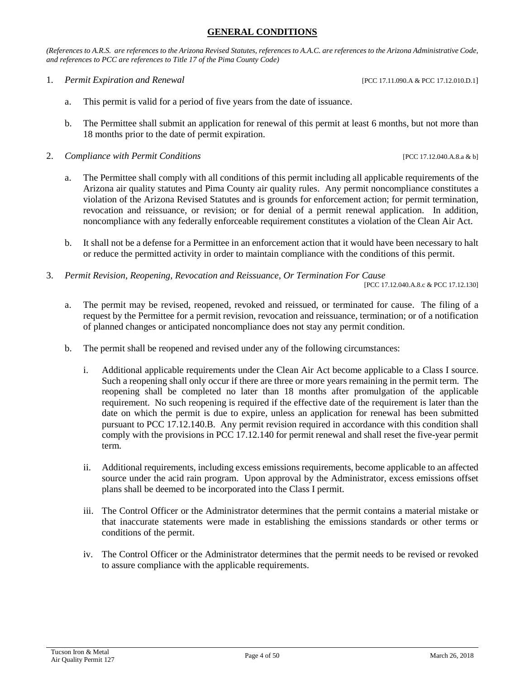#### **GENERAL CONDITIONS**

*(References to A.R.S. are references to the Arizona Revised Statutes, references to A.A.C. are references to the Arizona Administrative Code, and references to PCC are references to Title 17 of the Pima County Code)*

1. *Permit Expiration and Renewal* [PCC 17.11.090.A & PCC 17.12.010.D.1]

- a. This permit is valid for a period of five years from the date of issuance.
- b. The Permittee shall submit an application for renewal of this permit at least 6 months, but not more than 18 months prior to the date of permit expiration.
- 2. *Compliance with Permit Conditions* [PCC 17.12.040.A.8.a & b]
	- a. The Permittee shall comply with all conditions of this permit including all applicable requirements of the Arizona air quality statutes and Pima County air quality rules. Any permit noncompliance constitutes a violation of the Arizona Revised Statutes and is grounds for enforcement action; for permit termination, revocation and reissuance, or revision; or for denial of a permit renewal application. In addition, noncompliance with any federally enforceable requirement constitutes a violation of the Clean Air Act.
	- b. It shall not be a defense for a Permittee in an enforcement action that it would have been necessary to halt or reduce the permitted activity in order to maintain compliance with the conditions of this permit.
- 3. *Permit Revision, Reopening, Revocation and Reissuance, Or Termination For Cause*

[PCC 17.12.040.A.8.c & PCC 17.12.130]

- a. The permit may be revised, reopened, revoked and reissued, or terminated for cause. The filing of a request by the Permittee for a permit revision, revocation and reissuance, termination; or of a notification of planned changes or anticipated noncompliance does not stay any permit condition.
- b. The permit shall be reopened and revised under any of the following circumstances:
	- i. Additional applicable requirements under the Clean Air Act become applicable to a Class I source. Such a reopening shall only occur if there are three or more years remaining in the permit term. The reopening shall be completed no later than 18 months after promulgation of the applicable requirement. No such reopening is required if the effective date of the requirement is later than the date on which the permit is due to expire, unless an application for renewal has been submitted pursuant to PCC 17.12.140.B. Any permit revision required in accordance with this condition shall comply with the provisions in PCC 17.12.140 for permit renewal and shall reset the five-year permit term.
	- ii. Additional requirements, including excess emissions requirements, become applicable to an affected source under the acid rain program. Upon approval by the Administrator, excess emissions offset plans shall be deemed to be incorporated into the Class I permit.
	- iii. The Control Officer or the Administrator determines that the permit contains a material mistake or that inaccurate statements were made in establishing the emissions standards or other terms or conditions of the permit.
	- iv. The Control Officer or the Administrator determines that the permit needs to be revised or revoked to assure compliance with the applicable requirements.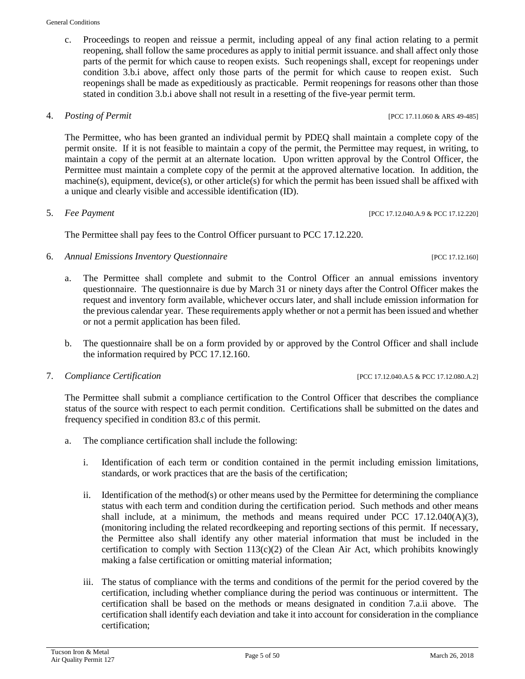c. Proceedings to reopen and reissue a permit, including appeal of any final action relating to a permit reopening, shall follow the same procedures as apply to initial permit issuance. and shall affect only those parts of the permit for which cause to reopen exists. Such reopenings shall, except for reopenings under condition 3.b.i above, affect only those parts of the permit for which cause to reopen exist. Such reopenings shall be made as expeditiously as practicable. Permit reopenings for reasons other than those stated in condition 3.b.i above shall not result in a resetting of the five-year permit term.

### 4. *Posting of Permit* [PCC 17.11.060 & ARS 49-485]

The Permittee, who has been granted an individual permit by PDEQ shall maintain a complete copy of the permit onsite. If it is not feasible to maintain a copy of the permit, the Permittee may request, in writing, to maintain a copy of the permit at an alternate location. Upon written approval by the Control Officer, the Permittee must maintain a complete copy of the permit at the approved alternative location. In addition, the machine(s), equipment, device(s), or other article(s) for which the permit has been issued shall be affixed with a unique and clearly visible and accessible identification (ID).

5. *Fee Payment* [PCC 17.12.040.A.9 & PCC 17.12.220]

The Permittee shall pay fees to the Control Officer pursuant to PCC 17.12.220.

- 6. *Annual Emissions Inventory Questionnaire* [PCC 17.12.160]
	- a. The Permittee shall complete and submit to the Control Officer an annual emissions inventory questionnaire. The questionnaire is due by March 31 or ninety days after the Control Officer makes the request and inventory form available, whichever occurs later, and shall include emission information for the previous calendar year. These requirements apply whether or not a permit has been issued and whether or not a permit application has been filed.
	- b. The questionnaire shall be on a form provided by or approved by the Control Officer and shall include the information required by PCC 17.12.160.
- 7. *Compliance Certification* [PCC 17.12.040.A.5 & PCC 17.12.080.A.2]

The Permittee shall submit a compliance certification to the Control Officer that describes the compliance status of the source with respect to each permit condition. Certifications shall be submitted on the dates and frequency specified in condition 83.c of this permit.

- a. The compliance certification shall include the following:
	- i. Identification of each term or condition contained in the permit including emission limitations, standards, or work practices that are the basis of the certification;
	- ii. Identification of the method(s) or other means used by the Permittee for determining the compliance status with each term and condition during the certification period. Such methods and other means shall include, at a minimum, the methods and means required under PCC  $17.12.040(A)(3)$ , (monitoring including the related recordkeeping and reporting sections of this permit. If necessary, the Permittee also shall identify any other material information that must be included in the certification to comply with Section  $113(c)(2)$  of the Clean Air Act, which prohibits knowingly making a false certification or omitting material information;
	- iii. The status of compliance with the terms and conditions of the permit for the period covered by the certification, including whether compliance during the period was continuous or intermittent. The certification shall be based on the methods or means designated in condition 7.a.ii above. The certification shall identify each deviation and take it into account for consideration in the compliance certification;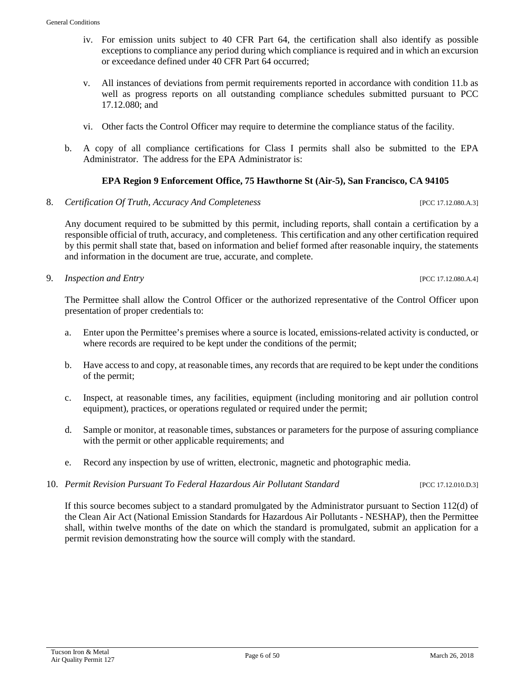- iv. For emission units subject to 40 CFR Part 64, the certification shall also identify as possible exceptions to compliance any period during which compliance is required and in which an excursion or exceedance defined under 40 CFR Part 64 occurred;
- v. All instances of deviations from permit requirements reported in accordance with condition 11.b as well as progress reports on all outstanding compliance schedules submitted pursuant to PCC 17.12.080; and
- vi. Other facts the Control Officer may require to determine the compliance status of the facility.
- b. A copy of all compliance certifications for Class I permits shall also be submitted to the EPA Administrator. The address for the EPA Administrator is:

#### **EPA Region 9 Enforcement Office, 75 Hawthorne St (Air-5), San Francisco, CA 94105**

8. *Certification Of Truth, Accuracy And Completeness* [PCC 17.12.080.A.3]

Any document required to be submitted by this permit, including reports, shall contain a certification by a responsible official of truth, accuracy, and completeness. This certification and any other certification required by this permit shall state that, based on information and belief formed after reasonable inquiry, the statements and information in the document are true, accurate, and complete.

9. *Inspection and Entry* [PCC 17.12.080.A.4]

The Permittee shall allow the Control Officer or the authorized representative of the Control Officer upon presentation of proper credentials to:

- a. Enter upon the Permittee's premises where a source is located, emissions-related activity is conducted, or where records are required to be kept under the conditions of the permit;
- b. Have access to and copy, at reasonable times, any records that are required to be kept under the conditions of the permit;
- c. Inspect, at reasonable times, any facilities, equipment (including monitoring and air pollution control equipment), practices, or operations regulated or required under the permit;
- d. Sample or monitor, at reasonable times, substances or parameters for the purpose of assuring compliance with the permit or other applicable requirements; and
- e. Record any inspection by use of written, electronic, magnetic and photographic media.
- 10. *Permit Revision Pursuant To Federal Hazardous Air Pollutant Standard* [PCC 17.12.010.D.3]

If this source becomes subject to a standard promulgated by the Administrator pursuant to Section 112(d) of the Clean Air Act (National Emission Standards for Hazardous Air Pollutants - NESHAP), then the Permittee shall, within twelve months of the date on which the standard is promulgated, submit an application for a permit revision demonstrating how the source will comply with the standard.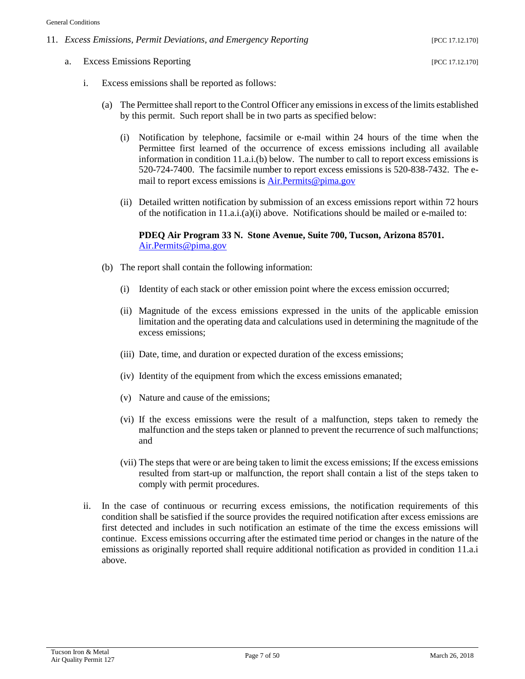- 11. *Excess Emissions, Permit Deviations, and Emergency Reporting* [PCC 17.12.170]
	- a. Excess Emissions Reporting [PCC 17.12.170]

- i. Excess emissions shall be reported as follows:
	- (a) The Permittee shall report to the Control Officer any emissions in excess of the limits established by this permit. Such report shall be in two parts as specified below:
		- (i) Notification by telephone, facsimile or e-mail within 24 hours of the time when the Permittee first learned of the occurrence of excess emissions including all available information in condition 11.a.i.(b) below. The number to call to report excess emissions is 520-724-7400. The facsimile number to report excess emissions is 520-838-7432. The email to report excess emissions is [Air.Permits@pima.gov](mailto:Air.Permits@pima.gov)
		- (ii) Detailed written notification by submission of an excess emissions report within 72 hours of the notification in  $11.a.i.(a)(i)$  above. Notifications should be mailed or e-mailed to:

#### **PDEQ Air Program 33 N. Stone Avenue, Suite 700, Tucson, Arizona 85701.** [Air.Permits@pima.gov](mailto:Air.Permits@pima.gov)

- (b) The report shall contain the following information:
	- (i) Identity of each stack or other emission point where the excess emission occurred;
	- (ii) Magnitude of the excess emissions expressed in the units of the applicable emission limitation and the operating data and calculations used in determining the magnitude of the excess emissions;
	- (iii) Date, time, and duration or expected duration of the excess emissions;
	- (iv) Identity of the equipment from which the excess emissions emanated;
	- (v) Nature and cause of the emissions;
	- (vi) If the excess emissions were the result of a malfunction, steps taken to remedy the malfunction and the steps taken or planned to prevent the recurrence of such malfunctions; and
	- (vii) The steps that were or are being taken to limit the excess emissions; If the excess emissions resulted from start-up or malfunction, the report shall contain a list of the steps taken to comply with permit procedures.
- ii. In the case of continuous or recurring excess emissions, the notification requirements of this condition shall be satisfied if the source provides the required notification after excess emissions are first detected and includes in such notification an estimate of the time the excess emissions will continue. Excess emissions occurring after the estimated time period or changes in the nature of the emissions as originally reported shall require additional notification as provided in condition 11.a.i above.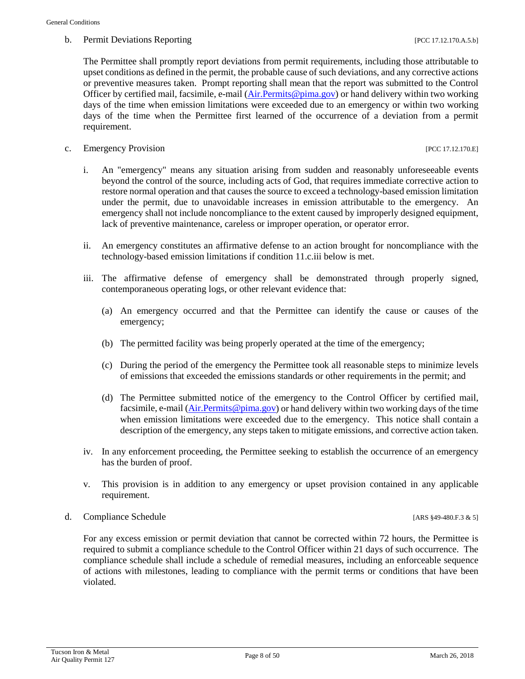#### b. Permit Deviations Reporting  $[PC 17.12.170.A.5.b]$

The Permittee shall promptly report deviations from permit requirements, including those attributable to upset conditions as defined in the permit, the probable cause of such deviations, and any corrective actions or preventive measures taken. Prompt reporting shall mean that the report was submitted to the Control Officer by certified mail, facsimile, e-mail [\(Air.Permits@pima.gov\)](mailto:Air.Permits@pima.gov) or hand delivery within two working days of the time when emission limitations were exceeded due to an emergency or within two working days of the time when the Permittee first learned of the occurrence of a deviation from a permit requirement.

c. Emergency Provision [PCC 17.12.170.E]

- i. An "emergency" means any situation arising from sudden and reasonably unforeseeable events beyond the control of the source, including acts of God, that requires immediate corrective action to restore normal operation and that causes the source to exceed a technology-based emission limitation under the permit, due to unavoidable increases in emission attributable to the emergency. An emergency shall not include noncompliance to the extent caused by improperly designed equipment, lack of preventive maintenance, careless or improper operation, or operator error.
- ii. An emergency constitutes an affirmative defense to an action brought for noncompliance with the technology-based emission limitations if condition 11.c.iii below is met.
- iii. The affirmative defense of emergency shall be demonstrated through properly signed, contemporaneous operating logs, or other relevant evidence that:
	- (a) An emergency occurred and that the Permittee can identify the cause or causes of the emergency;
	- (b) The permitted facility was being properly operated at the time of the emergency;
	- (c) During the period of the emergency the Permittee took all reasonable steps to minimize levels of emissions that exceeded the emissions standards or other requirements in the permit; and
	- (d) The Permittee submitted notice of the emergency to the Control Officer by certified mail, facsimile, e-mail [\(Air.Permits@pima.gov\)](mailto:Air.Permits@pima.gov) or hand delivery within two working days of the time when emission limitations were exceeded due to the emergency. This notice shall contain a description of the emergency, any steps taken to mitigate emissions, and corrective action taken.
- iv. In any enforcement proceeding, the Permittee seeking to establish the occurrence of an emergency has the burden of proof.
- v. This provision is in addition to any emergency or upset provision contained in any applicable requirement.
- d. Compliance Schedule [ARS §49-480.F.3 & 5]

For any excess emission or permit deviation that cannot be corrected within 72 hours, the Permittee is required to submit a compliance schedule to the Control Officer within 21 days of such occurrence. The compliance schedule shall include a schedule of remedial measures, including an enforceable sequence of actions with milestones, leading to compliance with the permit terms or conditions that have been violated.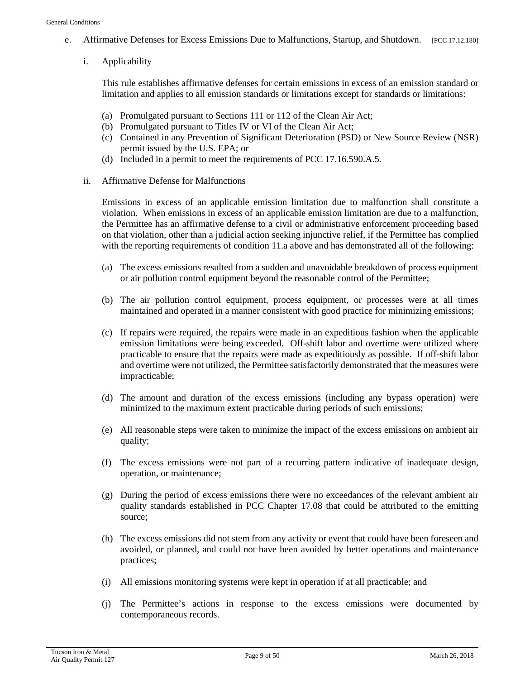- e. Affirmative Defenses for Excess Emissions Due to Malfunctions, Startup, and Shutdown. [PCC 17.12.180]
	- i. Applicability

This rule establishes affirmative defenses for certain emissions in excess of an emission standard or limitation and applies to all emission standards or limitations except for standards or limitations:

- (a) Promulgated pursuant to Sections 111 or 112 of the Clean Air Act;
- (b) Promulgated pursuant to Titles IV or VI of the Clean Air Act;
- (c) Contained in any Prevention of Significant Deterioration (PSD) or New Source Review (NSR) permit issued by the U.S. EPA; or
- (d) Included in a permit to meet the requirements of PCC 17.16.590.A.5.
- ii. Affirmative Defense for Malfunctions

Emissions in excess of an applicable emission limitation due to malfunction shall constitute a violation. When emissions in excess of an applicable emission limitation are due to a malfunction, the Permittee has an affirmative defense to a civil or administrative enforcement proceeding based on that violation, other than a judicial action seeking injunctive relief, if the Permittee has complied with the reporting requirements of condition 11.a above and has demonstrated all of the following:

- (a) The excess emissions resulted from a sudden and unavoidable breakdown of process equipment or air pollution control equipment beyond the reasonable control of the Permittee;
- (b) The air pollution control equipment, process equipment, or processes were at all times maintained and operated in a manner consistent with good practice for minimizing emissions;
- (c) If repairs were required, the repairs were made in an expeditious fashion when the applicable emission limitations were being exceeded. Off-shift labor and overtime were utilized where practicable to ensure that the repairs were made as expeditiously as possible. If off-shift labor and overtime were not utilized, the Permittee satisfactorily demonstrated that the measures were impracticable;
- (d) The amount and duration of the excess emissions (including any bypass operation) were minimized to the maximum extent practicable during periods of such emissions;
- (e) All reasonable steps were taken to minimize the impact of the excess emissions on ambient air quality;
- (f) The excess emissions were not part of a recurring pattern indicative of inadequate design, operation, or maintenance;
- (g) During the period of excess emissions there were no exceedances of the relevant ambient air quality standards established in PCC Chapter 17.08 that could be attributed to the emitting source;
- (h) The excess emissions did not stem from any activity or event that could have been foreseen and avoided, or planned, and could not have been avoided by better operations and maintenance practices;
- (i) All emissions monitoring systems were kept in operation if at all practicable; and
- (j) The Permittee's actions in response to the excess emissions were documented by contemporaneous records.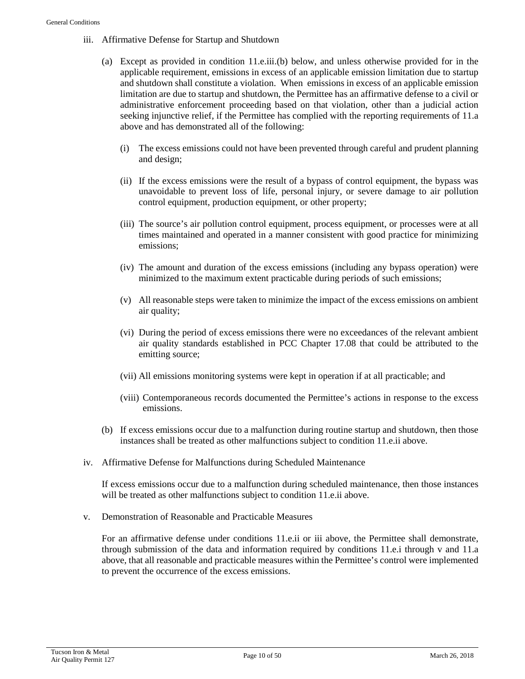- iii. Affirmative Defense for Startup and Shutdown
	- (a) Except as provided in condition 11.e.iii.(b) below, and unless otherwise provided for in the applicable requirement, emissions in excess of an applicable emission limitation due to startup and shutdown shall constitute a violation. When emissions in excess of an applicable emission limitation are due to startup and shutdown, the Permittee has an affirmative defense to a civil or administrative enforcement proceeding based on that violation, other than a judicial action seeking injunctive relief, if the Permittee has complied with the reporting requirements of 11.a above and has demonstrated all of the following:
		- (i) The excess emissions could not have been prevented through careful and prudent planning and design;
		- (ii) If the excess emissions were the result of a bypass of control equipment, the bypass was unavoidable to prevent loss of life, personal injury, or severe damage to air pollution control equipment, production equipment, or other property;
		- (iii) The source's air pollution control equipment, process equipment, or processes were at all times maintained and operated in a manner consistent with good practice for minimizing emissions;
		- (iv) The amount and duration of the excess emissions (including any bypass operation) were minimized to the maximum extent practicable during periods of such emissions;
		- (v) All reasonable steps were taken to minimize the impact of the excess emissions on ambient air quality;
		- (vi) During the period of excess emissions there were no exceedances of the relevant ambient air quality standards established in PCC Chapter 17.08 that could be attributed to the emitting source;
		- (vii) All emissions monitoring systems were kept in operation if at all practicable; and
		- (viii) Contemporaneous records documented the Permittee's actions in response to the excess emissions.
	- (b) If excess emissions occur due to a malfunction during routine startup and shutdown, then those instances shall be treated as other malfunctions subject to condition 11.e.ii above.
- iv. Affirmative Defense for Malfunctions during Scheduled Maintenance

If excess emissions occur due to a malfunction during scheduled maintenance, then those instances will be treated as other malfunctions subject to condition 11.e.ii above.

v. Demonstration of Reasonable and Practicable Measures

For an affirmative defense under conditions 11.e.ii or iii above, the Permittee shall demonstrate, through submission of the data and information required by conditions 11.e.i through v and 11.a above, that all reasonable and practicable measures within the Permittee's control were implemented to prevent the occurrence of the excess emissions.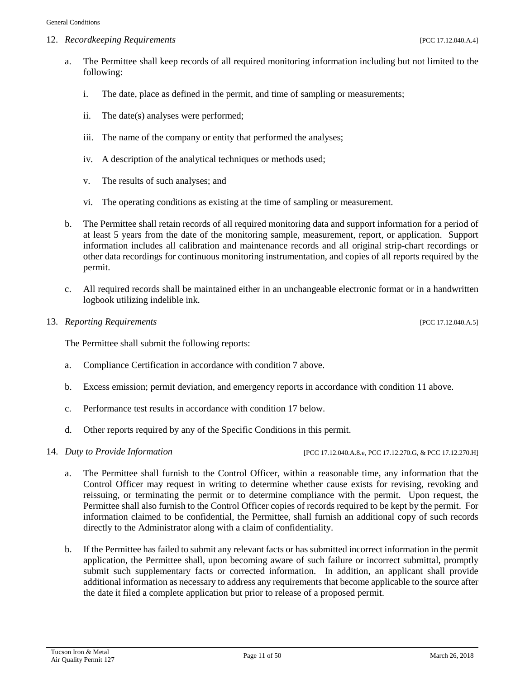12. *Recordkeeping Requirements* [PCC 17.12.040.A.4]

- a. The Permittee shall keep records of all required monitoring information including but not limited to the following:
	- i. The date, place as defined in the permit, and time of sampling or measurements;
	- ii. The date(s) analyses were performed;
	- iii. The name of the company or entity that performed the analyses;
	- iv. A description of the analytical techniques or methods used;
	- v. The results of such analyses; and
	- vi. The operating conditions as existing at the time of sampling or measurement.
- b. The Permittee shall retain records of all required monitoring data and support information for a period of at least 5 years from the date of the monitoring sample, measurement, report, or application. Support information includes all calibration and maintenance records and all original strip-chart recordings or other data recordings for continuous monitoring instrumentation, and copies of all reports required by the permit.
- c. All required records shall be maintained either in an unchangeable electronic format or in a handwritten logbook utilizing indelible ink.

#### 13. *Reporting Requirements* [PCC 17.12.040.A.5]

The Permittee shall submit the following reports:

- a. Compliance Certification in accordance with condition 7 above.
- b. Excess emission; permit deviation, and emergency reports in accordance with condition 11 above.
- c. Performance test results in accordance with condition 17 below.
- d. Other reports required by any of the Specific Conditions in this permit.
- 

14. *Duty to Provide Information* [PCC 17.12.040.A.8.e, PCC 17.12.270.G, & PCC 17.12.270.H]

- a. The Permittee shall furnish to the Control Officer, within a reasonable time, any information that the Control Officer may request in writing to determine whether cause exists for revising, revoking and reissuing, or terminating the permit or to determine compliance with the permit. Upon request, the Permittee shall also furnish to the Control Officer copies of records required to be kept by the permit. For information claimed to be confidential, the Permittee, shall furnish an additional copy of such records directly to the Administrator along with a claim of confidentiality.
- b. If the Permittee has failed to submit any relevant facts or has submitted incorrect information in the permit application, the Permittee shall, upon becoming aware of such failure or incorrect submittal, promptly submit such supplementary facts or corrected information. In addition, an applicant shall provide additional information as necessary to address any requirements that become applicable to the source after the date it filed a complete application but prior to release of a proposed permit.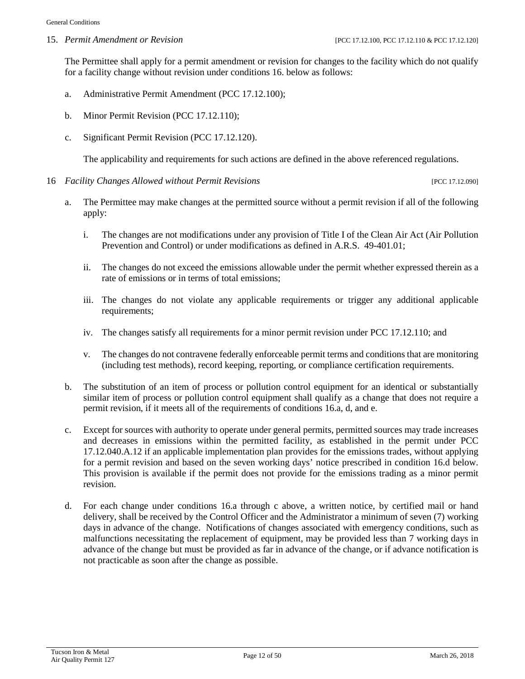#### 15. *Permit Amendment or Revision* [PCC 17.12.100, PCC 17.12.110 & PCC 17.12.120]

The Permittee shall apply for a permit amendment or revision for changes to the facility which do not qualify for a facility change without revision under conditions 16. below as follows:

- a. Administrative Permit Amendment (PCC 17.12.100);
- b. Minor Permit Revision (PCC 17.12.110);
- c. Significant Permit Revision (PCC 17.12.120).

The applicability and requirements for such actions are defined in the above referenced regulations.

- 16 *Facility Changes Allowed without Permit Revisions* [PCC 17.12.090]
	- a. The Permittee may make changes at the permitted source without a permit revision if all of the following apply:
		- i. The changes are not modifications under any provision of Title I of the Clean Air Act (Air Pollution Prevention and Control) or under modifications as defined in A.R.S. 49-401.01;
		- ii. The changes do not exceed the emissions allowable under the permit whether expressed therein as a rate of emissions or in terms of total emissions;
		- iii. The changes do not violate any applicable requirements or trigger any additional applicable requirements;
		- iv. The changes satisfy all requirements for a minor permit revision under PCC 17.12.110; and
		- v. The changes do not contravene federally enforceable permit terms and conditions that are monitoring (including test methods), record keeping, reporting, or compliance certification requirements.
	- b. The substitution of an item of process or pollution control equipment for an identical or substantially similar item of process or pollution control equipment shall qualify as a change that does not require a permit revision, if it meets all of the requirements of conditions 16.a, d, and e.
	- c. Except for sources with authority to operate under general permits, permitted sources may trade increases and decreases in emissions within the permitted facility, as established in the permit under PCC 17.12.040.A.12 if an applicable implementation plan provides for the emissions trades, without applying for a permit revision and based on the seven working days' notice prescribed in condition 16.d below. This provision is available if the permit does not provide for the emissions trading as a minor permit revision.
	- d. For each change under conditions 16.a through c above, a written notice, by certified mail or hand delivery, shall be received by the Control Officer and the Administrator a minimum of seven (7) working days in advance of the change. Notifications of changes associated with emergency conditions, such as malfunctions necessitating the replacement of equipment, may be provided less than 7 working days in advance of the change but must be provided as far in advance of the change, or if advance notification is not practicable as soon after the change as possible.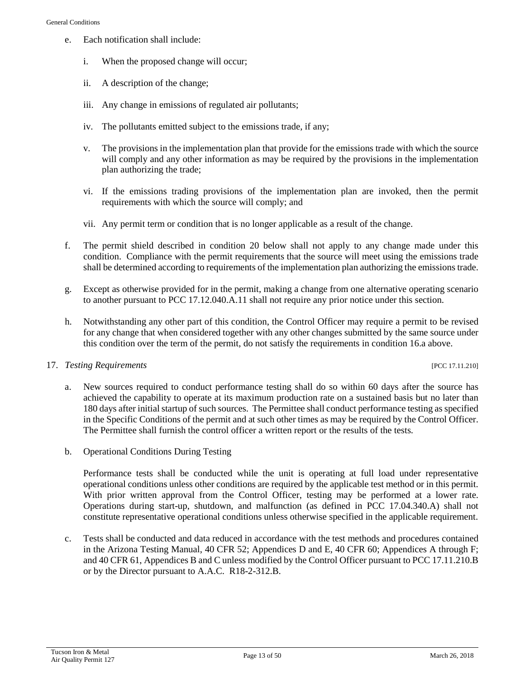- e. Each notification shall include:
	- i. When the proposed change will occur;
	- ii. A description of the change;
	- iii. Any change in emissions of regulated air pollutants;
	- iv. The pollutants emitted subject to the emissions trade, if any;
	- v. The provisions in the implementation plan that provide for the emissions trade with which the source will comply and any other information as may be required by the provisions in the implementation plan authorizing the trade;
	- vi. If the emissions trading provisions of the implementation plan are invoked, then the permit requirements with which the source will comply; and
	- vii. Any permit term or condition that is no longer applicable as a result of the change.
- f. The permit shield described in condition 20 below shall not apply to any change made under this condition. Compliance with the permit requirements that the source will meet using the emissions trade shall be determined according to requirements of the implementation plan authorizing the emissions trade.
- g. Except as otherwise provided for in the permit, making a change from one alternative operating scenario to another pursuant to PCC 17.12.040.A.11 shall not require any prior notice under this section.
- h. Notwithstanding any other part of this condition, the Control Officer may require a permit to be revised for any change that when considered together with any other changes submitted by the same source under this condition over the term of the permit, do not satisfy the requirements in condition 16.a above.

#### 17. *Testing Requirements* [PCC 17.11.210]

- a. New sources required to conduct performance testing shall do so within 60 days after the source has achieved the capability to operate at its maximum production rate on a sustained basis but no later than 180 days after initial startup of such sources. The Permittee shall conduct performance testing as specified in the Specific Conditions of the permit and at such other times as may be required by the Control Officer. The Permittee shall furnish the control officer a written report or the results of the tests.
- b. Operational Conditions During Testing

Performance tests shall be conducted while the unit is operating at full load under representative operational conditions unless other conditions are required by the applicable test method or in this permit. With prior written approval from the Control Officer, testing may be performed at a lower rate. Operations during start-up, shutdown, and malfunction (as defined in PCC 17.04.340.A) shall not constitute representative operational conditions unless otherwise specified in the applicable requirement.

c. Tests shall be conducted and data reduced in accordance with the test methods and procedures contained in the Arizona Testing Manual, 40 CFR 52; Appendices D and E, 40 CFR 60; Appendices A through F; and 40 CFR 61, Appendices B and C unless modified by the Control Officer pursuant to PCC 17.11.210.B or by the Director pursuant to A.A.C. R18-2-312.B.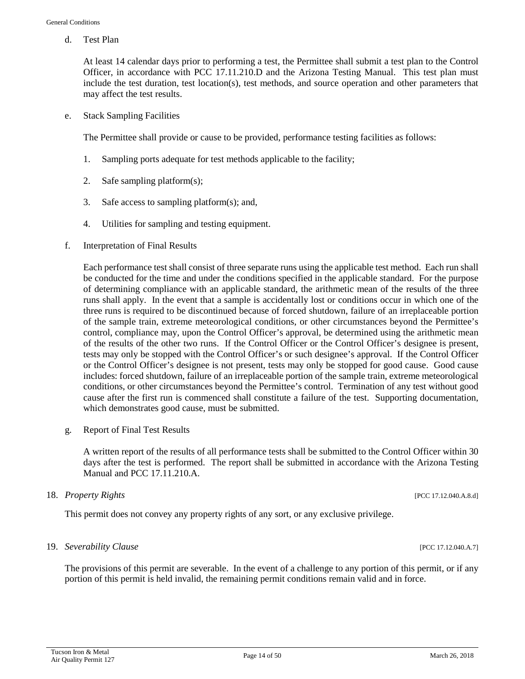d. Test Plan

At least 14 calendar days prior to performing a test, the Permittee shall submit a test plan to the Control Officer, in accordance with PCC 17.11.210.D and the Arizona Testing Manual. This test plan must include the test duration, test location(s), test methods, and source operation and other parameters that may affect the test results.

e. Stack Sampling Facilities

The Permittee shall provide or cause to be provided, performance testing facilities as follows:

- 1. Sampling ports adequate for test methods applicable to the facility;
- 2. Safe sampling platform(s);
- 3. Safe access to sampling platform(s); and,
- 4. Utilities for sampling and testing equipment.
- f. Interpretation of Final Results

Each performance test shall consist of three separate runs using the applicable test method. Each run shall be conducted for the time and under the conditions specified in the applicable standard. For the purpose of determining compliance with an applicable standard, the arithmetic mean of the results of the three runs shall apply. In the event that a sample is accidentally lost or conditions occur in which one of the three runs is required to be discontinued because of forced shutdown, failure of an irreplaceable portion of the sample train, extreme meteorological conditions, or other circumstances beyond the Permittee's control, compliance may, upon the Control Officer's approval, be determined using the arithmetic mean of the results of the other two runs. If the Control Officer or the Control Officer's designee is present, tests may only be stopped with the Control Officer's or such designee's approval. If the Control Officer or the Control Officer's designee is not present, tests may only be stopped for good cause. Good cause includes: forced shutdown, failure of an irreplaceable portion of the sample train, extreme meteorological conditions, or other circumstances beyond the Permittee's control. Termination of any test without good cause after the first run is commenced shall constitute a failure of the test. Supporting documentation, which demonstrates good cause, must be submitted.

g. Report of Final Test Results

A written report of the results of all performance tests shall be submitted to the Control Officer within 30 days after the test is performed. The report shall be submitted in accordance with the Arizona Testing Manual and PCC 17.11.210.A.

#### 18. *Property Rights* [PCC 17.12.040.A.8.d]

This permit does not convey any property rights of any sort, or any exclusive privilege.

#### 19. *Severability Clause* [PCC 17.12.040.A.7]

The provisions of this permit are severable. In the event of a challenge to any portion of this permit, or if any portion of this permit is held invalid, the remaining permit conditions remain valid and in force.

Tucson Iron & Metal Page 14 of 50 March 26, 2018<br>Air Quality Permit 127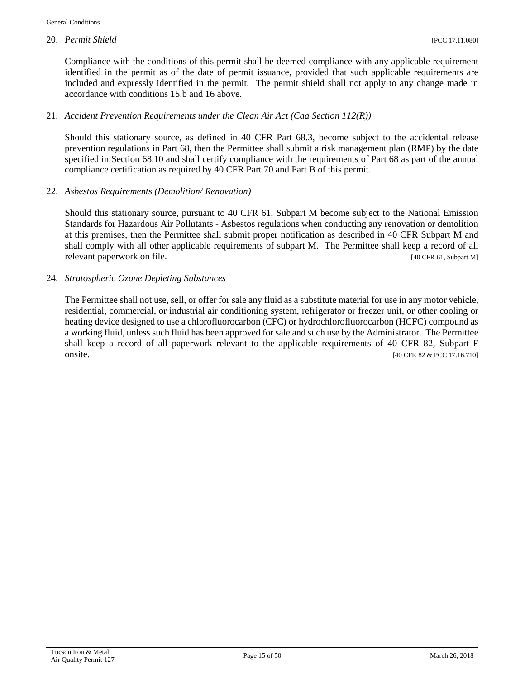Compliance with the conditions of this permit shall be deemed compliance with any applicable requirement identified in the permit as of the date of permit issuance, provided that such applicable requirements are included and expressly identified in the permit. The permit shield shall not apply to any change made in accordance with conditions 15.b and 16 above.

#### 21. *Accident Prevention Requirements under the Clean Air Act (Caa Section 112(R))*

Should this stationary source, as defined in 40 CFR Part 68.3, become subject to the accidental release prevention regulations in Part 68, then the Permittee shall submit a risk management plan (RMP) by the date specified in Section 68.10 and shall certify compliance with the requirements of Part 68 as part of the annual compliance certification as required by 40 CFR Part 70 and Part B of this permit.

#### 22. *Asbestos Requirements (Demolition/ Renovation)*

Should this stationary source, pursuant to 40 CFR 61, Subpart M become subject to the National Emission Standards for Hazardous Air Pollutants - Asbestos regulations when conducting any renovation or demolition at this premises, then the Permittee shall submit proper notification as described in 40 CFR Subpart M and shall comply with all other applicable requirements of subpart M. The Permittee shall keep a record of all relevant paperwork on file. [40 CFR 61, Subpart M]

#### 24. *Stratospheric Ozone Depleting Substances*

The Permittee shall not use, sell, or offer for sale any fluid as a substitute material for use in any motor vehicle, residential, commercial, or industrial air conditioning system, refrigerator or freezer unit, or other cooling or heating device designed to use a chlorofluorocarbon (CFC) or hydrochlorofluorocarbon (HCFC) compound as a working fluid, unless such fluid has been approved for sale and such use by the Administrator. The Permittee shall keep a record of all paperwork relevant to the applicable requirements of 40 CFR 82, Subpart F onsite. [40 CFR 82 & PCC 17.16.710]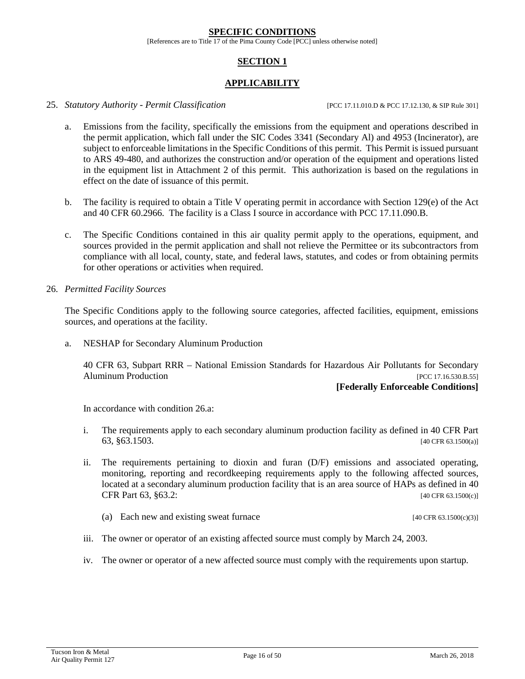#### **SPECIFIC CONDITIONS**

[References are to Title 17 of the Pima County Code [PCC] unless otherwise noted]

### **SECTION 1**

#### **APPLICABILITY**

#### 25. *Statutory Authority - Permit Classification* [PCC 17.11.010.D & PCC 17.12.130, & SIP Rule 301]

- a. Emissions from the facility, specifically the emissions from the equipment and operations described in the permit application, which fall under the SIC Codes 3341 (Secondary Al) and 4953 (Incinerator), are subject to enforceable limitations in the Specific Conditions of this permit. This Permit is issued pursuant to ARS 49-480, and authorizes the construction and/or operation of the equipment and operations listed in the equipment list in Attachment 2 of this permit. This authorization is based on the regulations in effect on the date of issuance of this permit.
- b. The facility is required to obtain a Title V operating permit in accordance with Section 129(e) of the Act and 40 CFR 60.2966. The facility is a Class I source in accordance with PCC 17.11.090.B.
- c. The Specific Conditions contained in this air quality permit apply to the operations, equipment, and sources provided in the permit application and shall not relieve the Permittee or its subcontractors from compliance with all local, county, state, and federal laws, statutes, and codes or from obtaining permits for other operations or activities when required.

#### 26. *Permitted Facility Sources*

The Specific Conditions apply to the following source categories, affected facilities, equipment, emissions sources, and operations at the facility.

a. NESHAP for Secondary Aluminum Production

40 CFR 63, Subpart RRR – National Emission Standards for Hazardous Air Pollutants for Secondary Aluminum Production *Production* **Production** 

#### **[Federally Enforceable Conditions]**

In accordance with condition 26.a:

- i. The requirements apply to each secondary aluminum production facility as defined in 40 CFR Part 63, §63.1503. [40 CFR 63.1500(a)]
- ii. The requirements pertaining to dioxin and furan (D/F) emissions and associated operating, monitoring, reporting and recordkeeping requirements apply to the following affected sources, located at a secondary aluminum production facility that is an area source of HAPs as defined in 40 CFR Part  $63, §63.2$ : [40 CFR 63.1500(c)]
	- (a) Each new and existing sweat furnace  $[40 \text{ CFR } 63.1500 \text{ (c)}(3)]$
- iii. The owner or operator of an existing affected source must comply by March 24, 2003.
- iv. The owner or operator of a new affected source must comply with the requirements upon startup.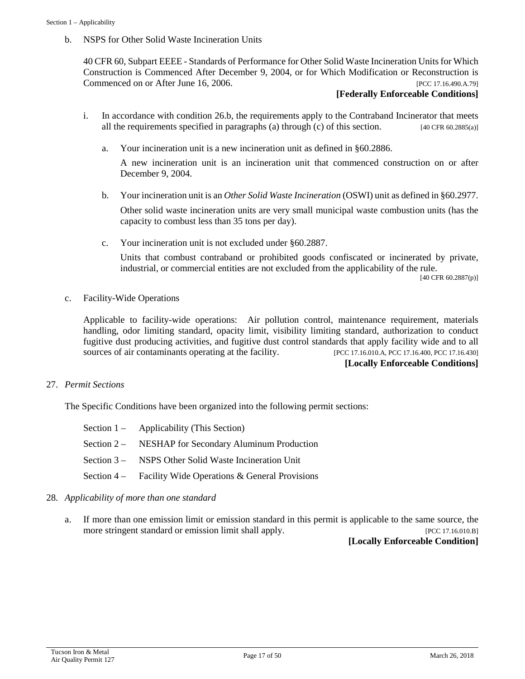b. NSPS for Other Solid Waste Incineration Units

40 CFR 60, Subpart EEEE - Standards of Performance for Other Solid Waste Incineration Units for Which Construction is Commenced After December 9, 2004, or for Which Modification or Reconstruction is Commenced on or After June 16, 2006. [PCC 17.16.490.A.79]

#### **[Federally Enforceable Conditions]**

- i. In accordance with condition 26.b, the requirements apply to the Contraband Incinerator that meets all the requirements specified in paragraphs (a) through (c) of this section. [40 CFR 60.2885(a)]
	- a. Your incineration unit is a new incineration unit as defined in §60.2886.

A new incineration unit is an incineration unit that commenced construction on or after December 9, 2004.

- b. Your incineration unit is an *Other Solid Waste Incineration* (OSWI) unit as defined in §60.2977. Other solid waste incineration units are very small municipal waste combustion units (has the capacity to combust less than 35 tons per day).
- c. Your incineration unit is not excluded under §60.2887.

Units that combust contraband or prohibited goods confiscated or incinerated by private, industrial, or commercial entities are not excluded from the applicability of the rule.

[40 CFR 60.2887(p)]

c. Facility-Wide Operations

Applicable to facility-wide operations: Air pollution control, maintenance requirement, materials handling, odor limiting standard, opacity limit, visibility limiting standard, authorization to conduct fugitive dust producing activities, and fugitive dust control standards that apply facility wide and to all sources of air contaminants operating at the facility. [PCC 17.16.010.A, PCC 17.16.400, PCC 17.16.430]

#### **[Locally Enforceable Conditions]**

#### 27. *Permit Sections*

The Specific Conditions have been organized into the following permit sections:

| Section $1 -$ Applicability (This Section)                |
|-----------------------------------------------------------|
| Section 2 – NESHAP for Secondary Aluminum Production      |
| Section 3 – NSPS Other Solid Waste Incineration Unit      |
| Section 4 – Facility Wide Operations & General Provisions |

- 28. *Applicability of more than one standard*
	- a. If more than one emission limit or emission standard in this permit is applicable to the same source, the more stringent standard or emission limit shall apply. [PCC 17.16.010.B]

**[Locally Enforceable Condition]**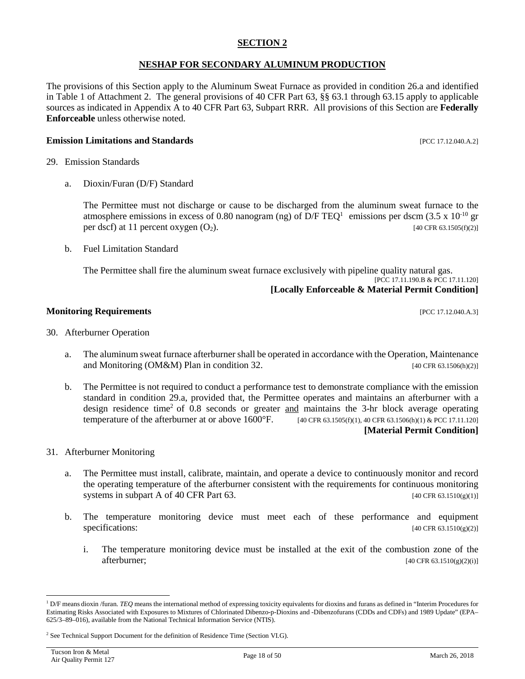#### **SECTION 2**

#### **NESHAP FOR SECONDARY ALUMINUM PRODUCTION**

The provisions of this Section apply to the Aluminum Sweat Furnace as provided in condition 26.a and identified in Table 1 of Attachment 2. The general provisions of 40 CFR Part 63, §§ 63.1 through 63.15 apply to applicable sources as indicated in Appendix A to 40 CFR Part 63, Subpart RRR. All provisions of this Section are **Federally Enforceable** unless otherwise noted.

#### **Emission Limitations and Standards Exercíal Exercíal Exercíal Analysis and Standards Exercíal Exercíal Exercíal Exercíal Exercíal Exercíal Exercíal Exercíal Exercíal Exercíal Exercíal Exercíal Exercíal Exercíal Exercí**

- 29. Emission Standards
	- a. Dioxin/Furan (D/F) Standard

The Permittee must not discharge or cause to be discharged from the aluminum sweat furnace to the atmosphere emissions in excess of 0.80 nanogram (ng) of  $D/F TEQ<sup>1</sup>$  $D/F TEQ<sup>1</sup>$  $D/F TEQ<sup>1</sup>$  emissions per dscm (3.5 x 10<sup>-10</sup> gr per dscf) at 11 percent oxygen  $(O_2)$ . [40 CFR 63.1505(f)(2)]

b. Fuel Limitation Standard

The Permittee shall fire the aluminum sweat furnace exclusively with pipeline quality natural gas. [PCC 17.11.190.B & PCC 17.11.120]

# **[Locally Enforceable & Material Permit Condition]**

#### **Monitoring Requirements** [PCC 17.12.040.A.3]

- 30. Afterburner Operation
	- a. The aluminum sweat furnace afterburner shall be operated in accordance with the Operation, Maintenance and Monitoring (OM&M) Plan in condition 32.  $[40 \text{ CFR } 63.1506(h)(2)]$
	- b. The Permittee is not required to conduct a performance test to demonstrate compliance with the emission standard in condition 29.a, provided that, the Permittee operates and maintains an afterburner with a design residence time<sup>[2](#page-17-1)</sup> of 0.8 seconds or greater  $\frac{and}{end}$  maintains the 3-hr block average operating temperature of the afterburner at or above  $1600^{\circ}$ F. [40 CFR 63.1505(f)(1), 40 CFR 63.1506(h)(1) & PCC 17.11.120] **[Material Permit Condition]**
- 31. Afterburner Monitoring
	- a. The Permittee must install, calibrate, maintain, and operate a device to continuously monitor and record the operating temperature of the afterburner consistent with the requirements for continuous monitoring systems in subpart A of 40 CFR Part 63.  $[40 \text{ CFR } 63.1510(g)(1)]$
	- b. The temperature monitoring device must meet each of these performance and equipment specifications:  $[40 \text{ CFR } 63.1510(g)(2)]$ 
		- i. The temperature monitoring device must be installed at the exit of the combustion zone of the  $afterburner;$  [40 CFR 63.1510(g)(2)(i)]

<span id="page-17-0"></span><sup>&</sup>lt;sup>1</sup> D/F means dioxin /furan. *TEQ* means the international method of expressing toxicity equivalents for dioxins and furans as defined in "Interim Procedures for Estimating Risks Associated with Exposures to Mixtures of Chlorinated Dibenzo-p-Dioxins and -Dibenzofurans (CDDs and CDFs) and 1989 Update" (EPA– 625/3–89–016), available from the National Technical Information Service (NTIS).

<span id="page-17-1"></span><sup>&</sup>lt;sup>2</sup> See Technical Support Document for the definition of Residence Time (Section VI.G).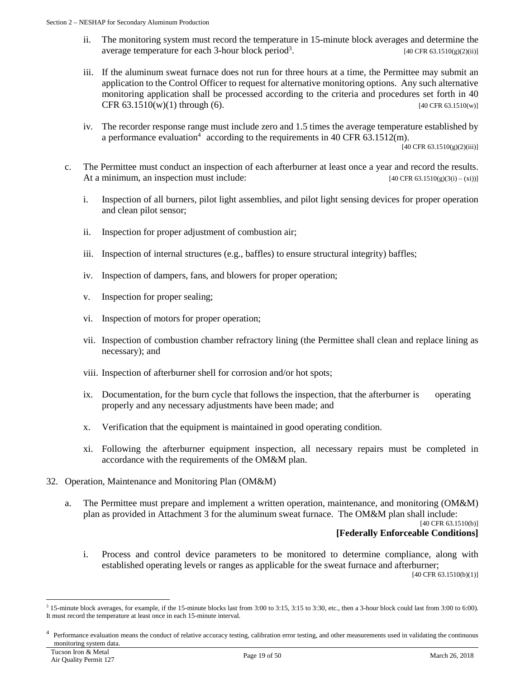- ii. The monitoring system must record the temperature in 15-minute block averages and determine the average temperature for each 3-hour block period<sup>3</sup>.  $[40 \text{ CFR } 63.1510(g)(2)(ii)]$  $[40 \text{ CFR } 63.1510(g)(2)(ii)]$  $[40 \text{ CFR } 63.1510(g)(2)(ii)]$
- iii. If the aluminum sweat furnace does not run for three hours at a time, the Permittee may submit an application to the Control Officer to request for alternative monitoring options. Any such alternative monitoring application shall be processed according to the criteria and procedures set forth in 40 CFR  $63.1510(w)(1)$  through  $(6)$ . [40 CFR 63.1510(w)]
- iv. The recorder response range must include zero and 1.5 times the average temperature established by a performance evaluation<sup>[4](#page-18-1)</sup> according to the requirements in 40 CFR 63.1512(m).

[40 CFR 63.1510(g)(2)(iii)]

- c. The Permittee must conduct an inspection of each afterburner at least once a year and record the results. At a minimum, an inspection must include:  $[40 \text{ CFR } 63.1510(g)(3(i) - (xi))]$ 
	- i. Inspection of all burners, pilot light assemblies, and pilot light sensing devices for proper operation and clean pilot sensor;
	- ii. Inspection for proper adjustment of combustion air;
	- iii. Inspection of internal structures (e.g., baffles) to ensure structural integrity) baffles;
	- iv. Inspection of dampers, fans, and blowers for proper operation;
	- v. Inspection for proper sealing;
	- vi. Inspection of motors for proper operation;
	- vii. Inspection of combustion chamber refractory lining (the Permittee shall clean and replace lining as necessary); and
	- viii. Inspection of afterburner shell for corrosion and/or hot spots;
	- ix. Documentation, for the burn cycle that follows the inspection, that the afterburner is operating properly and any necessary adjustments have been made; and
	- x. Verification that the equipment is maintained in good operating condition.
	- xi. Following the afterburner equipment inspection, all necessary repairs must be completed in accordance with the requirements of the OM&M plan.
- 32. Operation, Maintenance and Monitoring Plan (OM&M)
	- a. The Permittee must prepare and implement a written operation, maintenance, and monitoring (OM&M) plan as provided in Attachment 3 for the aluminum sweat furnace. The OM&M plan shall include:

[40 CFR 63.1510(b)]

#### **[Federally Enforceable Conditions]**

i. Process and control device parameters to be monitored to determine compliance, along with established operating levels or ranges as applicable for the sweat furnace and afterburner;

[40 CFR 63.1510(b)(1)]

<span id="page-18-0"></span> <sup>3</sup> 15-minute block averages, for example, if the 15-minute blocks last from 3:00 to 3:15, 3:15 to 3:30, etc., then a 3-hour block could last from 3:00 to 6:00). It must record the temperature at least once in each 15-minute interval.

<span id="page-18-1"></span><sup>4</sup> Performance evaluation means the conduct of relative accuracy testing, calibration error testing, and other measurements used in validating the continuous monitoring system data.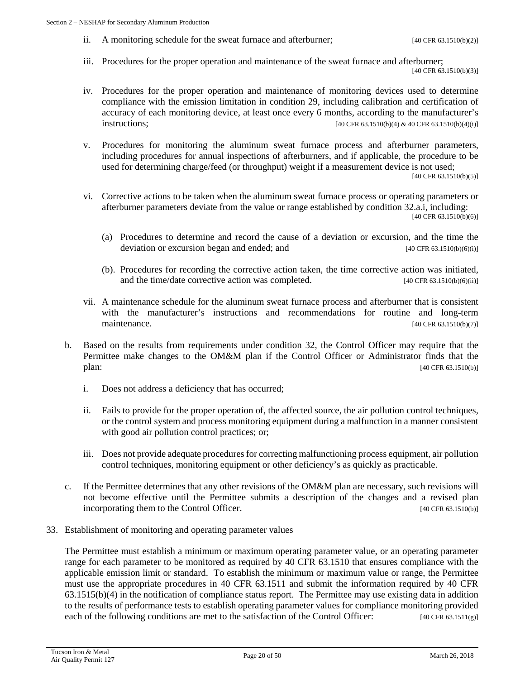ii. A monitoring schedule for the sweat furnace and afterburner;  $[40 \text{ CFR } 63.1510(b)(2)]$ 

- iii. Procedures for the proper operation and maintenance of the sweat furnace and afterburner; [40 CFR 63.1510(b)(3)]
- iv. Procedures for the proper operation and maintenance of monitoring devices used to determine compliance with the emission limitation in condition 29, including calibration and certification of accuracy of each monitoring device, at least once every 6 months, according to the manufacturer's  $intuations$ ;  $[40 \text{ CFR } 63.1510(b)(4) \& 40 \text{ CFR } 63.1510(b)(4)(i)]$
- v. Procedures for monitoring the aluminum sweat furnace process and afterburner parameters, including procedures for annual inspections of afterburners, and if applicable, the procedure to be used for determining charge/feed (or throughput) weight if a measurement device is not used; [40 CFR 63.1510(b)(5)]
- vi. Corrective actions to be taken when the aluminum sweat furnace process or operating parameters or afterburner parameters deviate from the value or range established by condition 32.a.i, including: [40 CFR 63.1510(b)(6)]
	- (a) Procedures to determine and record the cause of a deviation or excursion, and the time the deviation or excursion began and ended; and  $[40 \text{ CFR } 63.1510(b)(6)(i)]$
	- (b). Procedures for recording the corrective action taken, the time corrective action was initiated, and the time/date corrective action was completed. [40 CFR 63.1510(b)(6)(ii)]
- vii. A maintenance schedule for the aluminum sweat furnace process and afterburner that is consistent with the manufacturer's instructions and recommendations for routine and long-term maintenance. [40 CFR 63.1510(b)(7)]
- b. Based on the results from requirements under condition 32, the Control Officer may require that the Permittee make changes to the OM&M plan if the Control Officer or Administrator finds that the plan: [40 CFR 63.1510(b)]
	- i. Does not address a deficiency that has occurred;
	- ii. Fails to provide for the proper operation of, the affected source, the air pollution control techniques, or the control system and process monitoring equipment during a malfunction in a manner consistent with good air pollution control practices; or;
	- iii. Does not provide adequate procedures for correcting malfunctioning process equipment, air pollution control techniques, monitoring equipment or other deficiency's as quickly as practicable.
- c. If the Permittee determines that any other revisions of the OM&M plan are necessary, such revisions will not become effective until the Permittee submits a description of the changes and a revised plan incorporating them to the Control Officer. [40 CFR 63.1510(b)]
- 33. Establishment of monitoring and operating parameter values

The Permittee must establish a minimum or maximum operating parameter value, or an operating parameter range for each parameter to be monitored as required by 40 CFR 63.1510 that ensures compliance with the applicable emission limit or standard. To establish the minimum or maximum value or range, the Permittee must use the appropriate procedures in 40 CFR 63.1511 and submit the information required by 40 CFR 63.1515(b)(4) in the notification of compliance status report. The Permittee may use existing data in addition to the results of performance tests to establish operating parameter values for compliance monitoring provided each of the following conditions are met to the satisfaction of the Control Officer: [40 CFR 63.1511(g)]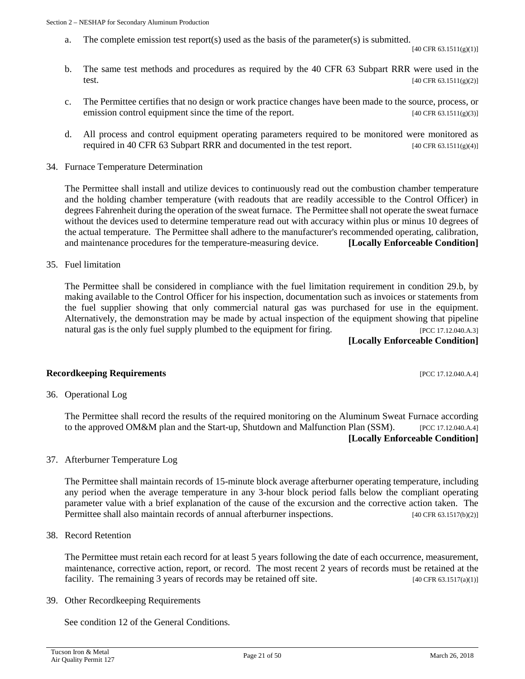a. The complete emission test report(s) used as the basis of the parameter(s) is submitted.

[40 CFR 63.1511(g)(1)]

- b. The same test methods and procedures as required by the 40 CFR 63 Subpart RRR were used in the test. [40 CFR 63.1511(g)(2)]
- c. The Permittee certifies that no design or work practice changes have been made to the source, process, or emission control equipment since the time of the report.  $[40 \text{ CFR } 63.1511(g)(3)]$
- d. All process and control equipment operating parameters required to be monitored were monitored as required in 40 CFR 63 Subpart RRR and documented in the test report. [40 CFR 63.1511(g)(4)]
- 34. Furnace Temperature Determination

The Permittee shall install and utilize devices to continuously read out the combustion chamber temperature and the holding chamber temperature (with readouts that are readily accessible to the Control Officer) in degrees Fahrenheit during the operation of the sweat furnace. The Permittee shall not operate the sweat furnace without the devices used to determine temperature read out with accuracy within plus or minus 10 degrees of the actual temperature. The Permittee shall adhere to the manufacturer's recommended operating, calibration, and maintenance procedures for the temperature-measuring device. **[Locally Enforceable Condition]**

35. Fuel limitation

The Permittee shall be considered in compliance with the fuel limitation requirement in condition 29.b, by making available to the Control Officer for his inspection, documentation such as invoices or statements from the fuel supplier showing that only commercial natural gas was purchased for use in the equipment. Alternatively, the demonstration may be made by actual inspection of the equipment showing that pipeline natural gas is the only fuel supply plumbed to the equipment for firing. [PCC 17.12.040.A.3]

**[Locally Enforceable Condition]**

#### **Recordkeeping Requirements** [PCC 17.12.040.A.4]

36. Operational Log

The Permittee shall record the results of the required monitoring on the Aluminum Sweat Furnace according to the approved OM&M plan and the Start-up, Shutdown and Malfunction Plan (SSM). [PCC 17.12.040.A.4] **[Locally Enforceable Condition]**

37. Afterburner Temperature Log

The Permittee shall maintain records of 15-minute block average afterburner operating temperature, including any period when the average temperature in any 3-hour block period falls below the compliant operating parameter value with a brief explanation of the cause of the excursion and the corrective action taken. The Permittee shall also maintain records of annual afterburner inspections. [40 CFR 63.1517(b)(2)]

38. Record Retention

The Permittee must retain each record for at least 5 years following the date of each occurrence, measurement, maintenance, corrective action, report, or record. The most recent 2 years of records must be retained at the facility. The remaining 3 years of records may be retained off site.  $[40 \text{ CFR } 63.1517(a)(1)]$ 

39. Other Recordkeeping Requirements

See condition 12 of the General Conditions.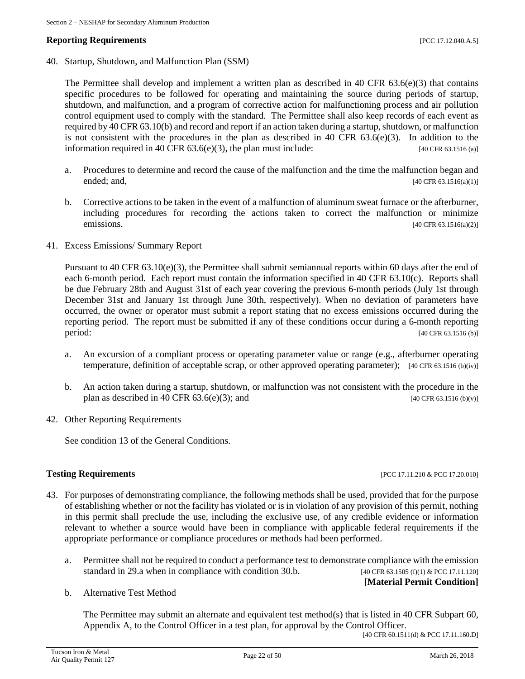#### **Reporting Requirements and the properties in the contract of the contract of the contract of the contract of the contract of the contract of the contract of the contract of the contract of the contract of the contract o**

40. Startup, Shutdown, and Malfunction Plan (SSM)

The Permittee shall develop and implement a written plan as described in 40 CFR  $63.6(e)(3)$  that contains specific procedures to be followed for operating and maintaining the source during periods of startup, shutdown, and malfunction, and a program of corrective action for malfunctioning process and air pollution control equipment used to comply with the standard. The Permittee shall also keep records of each event as required by 40 CFR 63.10(b) and record and report if an action taken during a startup, shutdown, or malfunction is not consistent with the procedures in the plan as described in 40 CFR 63.6(e)(3). In addition to the information required in 40 CFR  $63.6(e)(3)$ , the plan must include: [40 CFR  $63.1516$  (a)]

- a. Procedures to determine and record the cause of the malfunction and the time the malfunction began and ended; and, [40 CFR 63.1516(a)(1)]
- b. Corrective actions to be taken in the event of a malfunction of aluminum sweat furnace or the afterburner, including procedures for recording the actions taken to correct the malfunction or minimize emissions. [40 CFR 63.1516(a)(2)]
- 41. Excess Emissions/ Summary Report

Pursuant to 40 CFR  $63.10(e)(3)$ , the Permittee shall submit semiannual reports within 60 days after the end of each 6-month period. Each report must contain the information specified in 40 CFR 63.10(c). Reports shall be due February 28th and August 31st of each year covering the previous 6-month periods (July 1st through December 31st and January 1st through June 30th, respectively). When no deviation of parameters have occurred, the owner or operator must submit a report stating that no excess emissions occurred during the reporting period. The report must be submitted if any of these conditions occur during a 6-month reporting period: [40 CFR 63.1516 (b)]

- a. An excursion of a compliant process or operating parameter value or range (e.g., afterburner operating temperature, definition of acceptable scrap, or other approved operating parameter); [40 CFR 63.1516 (b)(iv)]
- b. An action taken during a startup, shutdown, or malfunction was not consistent with the procedure in the plan as described in 40 CFR 63.6(e)(3); and [40 CFR 63.1516 (b)(v)]
- 42. Other Reporting Requirements

See condition 13 of the General Conditions.

#### **Testing Requirements Example 2018 EXECUTE: PCC 17.11.210 & PCC 17.20.010**

- 43. For purposes of demonstrating compliance, the following methods shall be used, provided that for the purpose of establishing whether or not the facility has violated or is in violation of any provision of this permit, nothing in this permit shall preclude the use, including the exclusive use, of any credible evidence or information relevant to whether a source would have been in compliance with applicable federal requirements if the appropriate performance or compliance procedures or methods had been performed.
	- a. Permittee shall not be required to conduct a performance test to demonstrate compliance with the emission standard in 29.a when in compliance with condition 30.b. [40 CFR 63.1505 (f)(1) & PCC 17.11.120]

**[Material Permit Condition]**

b. Alternative Test Method

The Permittee may submit an alternate and equivalent test method(s) that is listed in 40 CFR Subpart 60, Appendix A, to the Control Officer in a test plan, for approval by the Control Officer.

[40 CFR 60.1511(d) & PCC 17.11.160.D]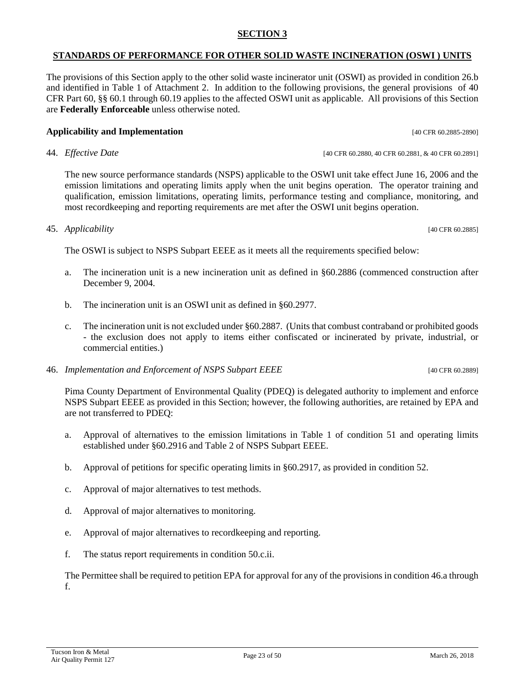# **SECTION 3**

# **STANDARDS OF PERFORMANCE FOR OTHER SOLID WASTE INCINERATION (OSWI ) UNITS**

The provisions of this Section apply to the other solid waste incinerator unit (OSWI) as provided in condition 26.b and identified in Table 1 of Attachment 2. In addition to the following provisions, the general provisions of 40 CFR Part 60, §§ 60.1 through 60.19 applies to the affected OSWI unit as applicable. All provisions of this Section are **Federally Enforceable** unless otherwise noted.

# **Applicability and Implementation Examplementation [40 CFR 60.2885-2890]**

44. *Effective Date* [40 CFR 60.2880, 40 CFR 60.2881, & 40 CFR 60.2891]

The new source performance standards (NSPS) applicable to the OSWI unit take effect June 16, 2006 and the emission limitations and operating limits apply when the unit begins operation. The operator training and qualification, emission limitations, operating limits, performance testing and compliance, monitoring, and most recordkeeping and reporting requirements are met after the OSWI unit begins operation.

# 45. *Applicability* [40 CFR 60.2885]

The OSWI is subject to NSPS Subpart EEEE as it meets all the requirements specified below:

- a. The incineration unit is a new incineration unit as defined in §60.2886 (commenced construction after December 9, 2004.
- b. The incineration unit is an OSWI unit as defined in §60.2977.
- c. The incineration unit is not excluded under §60.2887. (Units that combust contraband or prohibited goods - the exclusion does not apply to items either confiscated or incinerated by private, industrial, or commercial entities.)
- 46. *Implementation and Enforcement of NSPS Subpart EEEE* [40 CFR 60.2889]

Pima County Department of Environmental Quality (PDEQ) is delegated authority to implement and enforce NSPS Subpart EEEE as provided in this Section; however, the following authorities, are retained by EPA and are not transferred to PDEQ:

- a. Approval of alternatives to the emission limitations in Table 1 of condition 51 and operating limits established under §60.2916 and Table 2 of NSPS Subpart EEEE.
- b. Approval of petitions for specific operating limits in §60.2917, as provided in condition 52.
- c. Approval of major alternatives to test methods.
- d. Approval of major alternatives to monitoring.
- e. Approval of major alternatives to recordkeeping and reporting.
- f. The status report requirements in condition 50.c.ii.

The Permittee shall be required to petition EPA for approval for any of the provisions in condition 46.a through f.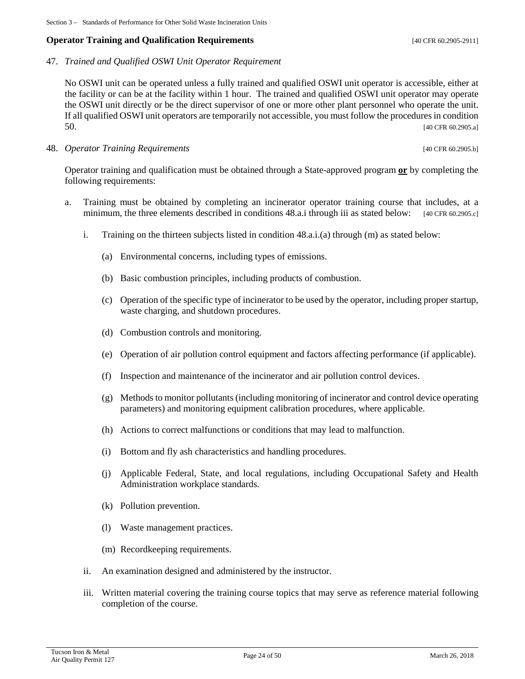#### **Operator Training and Qualification Requirements COPER 60.2905-2911**

47. *Trained and Qualified OSWI Unit Operator Requirement*

No OSWI unit can be operated unless a fully trained and qualified OSWI unit operator is accessible, either at the facility or can be at the facility within 1 hour. The trained and qualified OSWI unit operator may operate the OSWI unit directly or be the direct supervisor of one or more other plant personnel who operate the unit. If all qualified OSWI unit operators are temporarily not accessible, you must follow the procedures in condition 50. [40 CFR 60.2905.a]

48. *Operator Training Requirements* **Example 2018 Example 2018 EXAMPLE 2018 140** CFR 60.2905.b]

Operator training and qualification must be obtained through a State-approved program **or** by completing the following requirements:

- a. Training must be obtained by completing an incinerator operator training course that includes, at a minimum, the three elements described in conditions 48.a.i through iii as stated below: [40 CFR 60.2905.c]
	- i. Training on the thirteen subjects listed in condition 48.a.i.(a) through (m) as stated below:
		- (a) Environmental concerns, including types of emissions.
		- (b) Basic combustion principles, including products of combustion.
		- (c) Operation of the specific type of incinerator to be used by the operator, including proper startup, waste charging, and shutdown procedures.
		- (d) Combustion controls and monitoring.
		- (e) Operation of air pollution control equipment and factors affecting performance (if applicable).
		- (f) Inspection and maintenance of the incinerator and air pollution control devices.
		- (g) Methods to monitor pollutants (including monitoring of incinerator and control device operating parameters) and monitoring equipment calibration procedures, where applicable.
		- (h) Actions to correct malfunctions or conditions that may lead to malfunction.
		- (i) Bottom and fly ash characteristics and handling procedures.
		- (j) Applicable Federal, State, and local regulations, including Occupational Safety and Health Administration workplace standards.
		- (k) Pollution prevention.
		- (l) Waste management practices.
		- (m) Recordkeeping requirements.
	- ii. An examination designed and administered by the instructor.
	- iii. Written material covering the training course topics that may serve as reference material following completion of the course.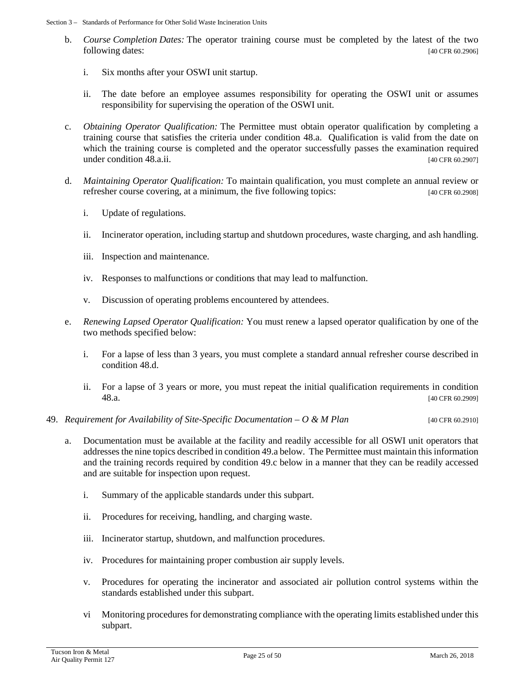- b. *Course Completion Dates:* The operator training course must be completed by the latest of the two following dates: [40 CFR 60.2906]
	- i. Six months after your OSWI unit startup.
	- ii. The date before an employee assumes responsibility for operating the OSWI unit or assumes responsibility for supervising the operation of the OSWI unit.
- c. *Obtaining Operator Qualification:* The Permittee must obtain operator qualification by completing a training course that satisfies the criteria under condition 48.a. Qualification is valid from the date on which the training course is completed and the operator successfully passes the examination required under condition 48.a.ii. [40 CFR 60.2907]
- d. *Maintaining Operator Qualification:* To maintain qualification, you must complete an annual review or refresher course covering, at a minimum, the five following topics: [40 CFR 60.2908]
	- i. Update of regulations.
	- ii. Incinerator operation, including startup and shutdown procedures, waste charging, and ash handling.
	- iii. Inspection and maintenance.
	- iv. Responses to malfunctions or conditions that may lead to malfunction.
	- v. Discussion of operating problems encountered by attendees.
- e. *Renewing Lapsed Operator Qualification:* You must renew a lapsed operator qualification by one of the two methods specified below:
	- i. For a lapse of less than 3 years, you must complete a standard annual refresher course described in condition 48.d.
	- ii. For a lapse of 3 years or more, you must repeat the initial qualification requirements in condition 48.a. [40 CFR 60.2909]
- 49. *Requirement for Availability of Site-Specific Documentation – O & M Plan* [40 CFR 60.2910]
	- a. Documentation must be available at the facility and readily accessible for all OSWI unit operators that addresses the nine topics described in condition 49.a below. The Permittee must maintain this information and the training records required by condition 49.c below in a manner that they can be readily accessed and are suitable for inspection upon request.
		- i. Summary of the applicable standards under this subpart.
		- ii. Procedures for receiving, handling, and charging waste.
		- iii. Incinerator startup, shutdown, and malfunction procedures.
		- iv. Procedures for maintaining proper combustion air supply levels.
		- v. Procedures for operating the incinerator and associated air pollution control systems within the standards established under this subpart.
		- vi Monitoring procedures for demonstrating compliance with the operating limits established under this subpart.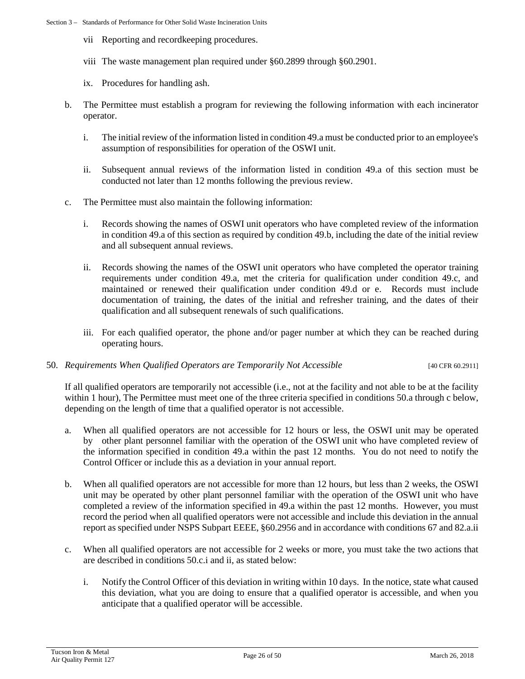- vii Reporting and recordkeeping procedures.
- viii The waste management plan required under §60.2899 through §60.2901.
- ix. Procedures for handling ash.
- b. The Permittee must establish a program for reviewing the following information with each incinerator operator.
	- i. The initial review of the information listed in condition 49.a must be conducted prior to an employee's assumption of responsibilities for operation of the OSWI unit.
	- ii. Subsequent annual reviews of the information listed in condition 49.a of this section must be conducted not later than 12 months following the previous review.
- c. The Permittee must also maintain the following information:
	- i. Records showing the names of OSWI unit operators who have completed review of the information in condition 49.a of this section as required by condition 49.b, including the date of the initial review and all subsequent annual reviews.
	- ii. Records showing the names of the OSWI unit operators who have completed the operator training requirements under condition 49.a, met the criteria for qualification under condition 49.c, and maintained or renewed their qualification under condition 49.d or e. Records must include documentation of training, the dates of the initial and refresher training, and the dates of their qualification and all subsequent renewals of such qualifications.
	- iii. For each qualified operator, the phone and/or pager number at which they can be reached during operating hours.

#### 50. *Requirements When Qualified Operators are Temporarily Not Accessible* [40 CFR 60.2911]

If all qualified operators are temporarily not accessible (i.e., not at the facility and not able to be at the facility within 1 hour), The Permittee must meet one of the three criteria specified in conditions 50.a through c below, depending on the length of time that a qualified operator is not accessible.

- a. When all qualified operators are not accessible for 12 hours or less, the OSWI unit may be operated by other plant personnel familiar with the operation of the OSWI unit who have completed review of the information specified in condition 49.a within the past 12 months. You do not need to notify the Control Officer or include this as a deviation in your annual report.
- b. When all qualified operators are not accessible for more than 12 hours, but less than 2 weeks, the OSWI unit may be operated by other plant personnel familiar with the operation of the OSWI unit who have completed a review of the information specified in 49.a within the past 12 months. However, you must record the period when all qualified operators were not accessible and include this deviation in the annual report as specified under NSPS Subpart EEEE, §60.2956 and in accordance with conditions 67 and 82.a.ii
- c. When all qualified operators are not accessible for 2 weeks or more, you must take the two actions that are described in conditions 50.c.i and ii, as stated below:
	- i. Notify the Control Officer of this deviation in writing within 10 days. In the notice, state what caused this deviation, what you are doing to ensure that a qualified operator is accessible, and when you anticipate that a qualified operator will be accessible.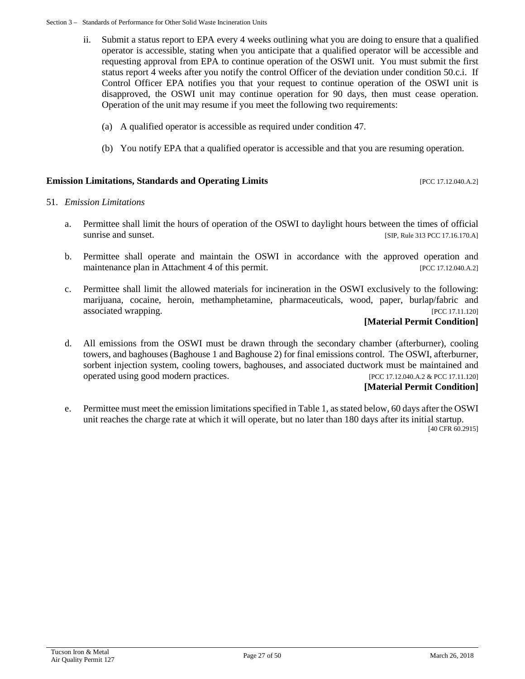- ii. Submit a status report to EPA every 4 weeks outlining what you are doing to ensure that a qualified operator is accessible, stating when you anticipate that a qualified operator will be accessible and requesting approval from EPA to continue operation of the OSWI unit. You must submit the first status report 4 weeks after you notify the control Officer of the deviation under condition 50.c.i. If Control Officer EPA notifies you that your request to continue operation of the OSWI unit is disapproved, the OSWI unit may continue operation for 90 days, then must cease operation. Operation of the unit may resume if you meet the following two requirements:
	- (a) A qualified operator is accessible as required under condition 47.
	- (b) You notify EPA that a qualified operator is accessible and that you are resuming operation.

#### **Emission Limitations, Standards and Operating Limits** [PCC 17.12.040.A.2]

#### 51. *Emission Limitations*

- a. Permittee shall limit the hours of operation of the OSWI to daylight hours between the times of official sunrise and sunset. [SIP, Rule 313 PCC 17.16.170.A]
- b. Permittee shall operate and maintain the OSWI in accordance with the approved operation and maintenance plan in Attachment 4 of this permit. [PCC 17.12.040.A.2]
- c. Permittee shall limit the allowed materials for incineration in the OSWI exclusively to the following: marijuana, cocaine, heroin, methamphetamine, pharmaceuticals, wood, paper, burlap/fabric and associated wrapping. [PCC 17.11.120]

#### **[Material Permit Condition]**

d. All emissions from the OSWI must be drawn through the secondary chamber (afterburner), cooling towers, and baghouses (Baghouse 1 and Baghouse 2) for final emissions control. The OSWI, afterburner, sorbent injection system, cooling towers, baghouses, and associated ductwork must be maintained and operated using good modern practices. [PCC 17.12.040.A.2 & PCC 17.11.120]

#### **[Material Permit Condition]**

e. Permittee must meet the emission limitations specified in Table 1, as stated below, 60 days after the OSWI unit reaches the charge rate at which it will operate, but no later than 180 days after its initial startup.

[40 CFR 60.2915]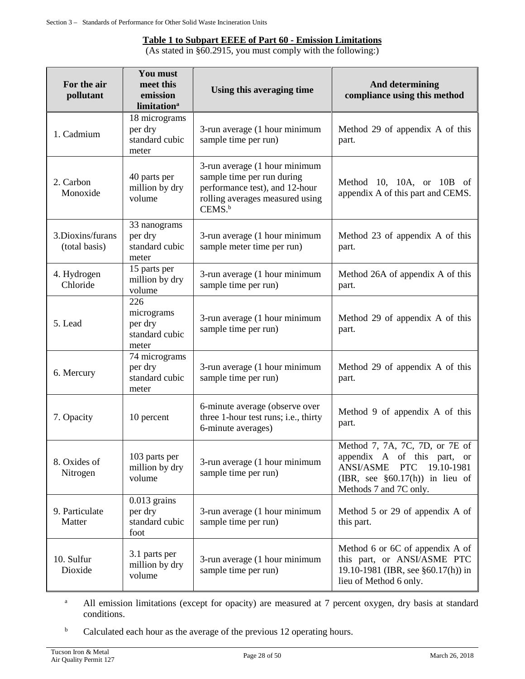#### **Table 1 to Subpart EEEE of Part 60 - Emission Limitations**

(As stated in §60.2915, you must comply with the following:)

| For the air<br>pollutant          | You must<br>meet this<br>emission<br>limitation <sup>a</sup> | Using this averaging time                                                                                                                              | <b>And determining</b><br>compliance using this method                                                                                                                          |
|-----------------------------------|--------------------------------------------------------------|--------------------------------------------------------------------------------------------------------------------------------------------------------|---------------------------------------------------------------------------------------------------------------------------------------------------------------------------------|
| 1. Cadmium                        | 18 micrograms<br>per dry<br>standard cubic<br>meter          | 3-run average (1 hour minimum<br>sample time per run)                                                                                                  | Method 29 of appendix A of this<br>part.                                                                                                                                        |
| 2. Carbon<br>Monoxide             | 40 parts per<br>million by dry<br>volume                     | 3-run average (1 hour minimum<br>sample time per run during<br>performance test), and 12-hour<br>rolling averages measured using<br>CEMS. <sup>b</sup> | Method 10, 10A, or 10B of<br>appendix A of this part and CEMS.                                                                                                                  |
| 3.Dioxins/furans<br>(total basis) | 33 nanograms<br>per dry<br>standard cubic<br>meter           | 3-run average (1 hour minimum<br>sample meter time per run)                                                                                            | Method 23 of appendix A of this<br>part.                                                                                                                                        |
| 4. Hydrogen<br>Chloride           | 15 parts per<br>million by dry<br>volume                     | 3-run average (1 hour minimum<br>sample time per run)                                                                                                  | Method 26A of appendix A of this<br>part.                                                                                                                                       |
| 5. Lead                           | 226<br>micrograms<br>per dry<br>standard cubic<br>meter      | 3-run average (1 hour minimum<br>sample time per run)                                                                                                  | Method 29 of appendix A of this<br>part.                                                                                                                                        |
| 6. Mercury                        | 74 micrograms<br>per dry<br>standard cubic<br>meter          | 3-run average (1 hour minimum<br>sample time per run)                                                                                                  | Method 29 of appendix A of this<br>part.                                                                                                                                        |
| 7. Opacity                        | 10 percent                                                   | 6-minute average (observe over<br>three 1-hour test runs; i.e., thirty<br>6-minute averages)                                                           | Method 9 of appendix A of this<br>part.                                                                                                                                         |
| 8. Oxides of<br>Nitrogen          | 103 parts per<br>million by dry<br>volume                    | 3-run average (1 hour minimum<br>sample time per run)                                                                                                  | Method 7, 7A, 7C, 7D, or 7E of<br>appendix A of this part, or<br><b>ANSI/ASME</b><br>19.10-1981<br><b>PTC</b><br>(IBR, see $\S 60.17(h)$ ) in lieu of<br>Methods 7 and 7C only. |
| 9. Particulate<br>Matter          | $0.013$ grains<br>per dry<br>standard cubic<br>foot          | 3-run average (1 hour minimum<br>sample time per run)                                                                                                  | Method 5 or 29 of appendix A of<br>this part.                                                                                                                                   |
| 10. Sulfur<br>Dioxide             | 3.1 parts per<br>million by dry<br>volume                    | 3-run average (1 hour minimum<br>sample time per run)                                                                                                  | Method 6 or 6C of appendix A of<br>this part, or ANSI/ASME PTC<br>19.10-1981 (IBR, see §60.17(h)) in<br>lieu of Method 6 only.                                                  |

<sup>a</sup> All emission limitations (except for opacity) are measured at 7 percent oxygen, dry basis at standard conditions.

<sup>b</sup> Calculated each hour as the average of the previous 12 operating hours.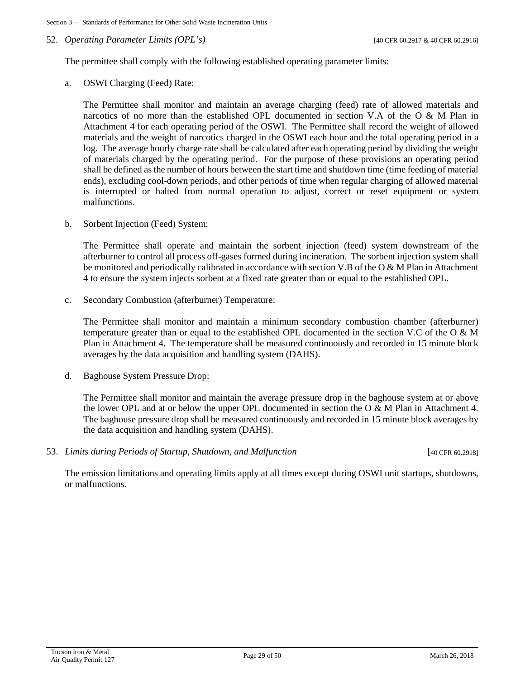#### 52. *Operating Parameter Limits (OPL's)* [40 CFR 60.2917 & 40 CFR 60.2916]

The permittee shall comply with the following established operating parameter limits:

a. OSWI Charging (Feed) Rate:

The Permittee shall monitor and maintain an average charging (feed) rate of allowed materials and narcotics of no more than the established OPL documented in section V.A of the O & M Plan in Attachment 4 for each operating period of the OSWI. The Permittee shall record the weight of allowed materials and the weight of narcotics charged in the OSWI each hour and the total operating period in a log. The average hourly charge rate shall be calculated after each operating period by dividing the weight of materials charged by the operating period. For the purpose of these provisions an operating period shall be defined as the number of hours between the start time and shutdown time (time feeding of material ends), excluding cool-down periods, and other periods of time when regular charging of allowed material is interrupted or halted from normal operation to adjust, correct or reset equipment or system malfunctions.

b. Sorbent Injection (Feed) System:

The Permittee shall operate and maintain the sorbent injection (feed) system downstream of the afterburner to control all process off-gases formed during incineration. The sorbent injection system shall be monitored and periodically calibrated in accordance with section V.B of the O & M Plan in Attachment 4 to ensure the system injects sorbent at a fixed rate greater than or equal to the established OPL.

c. Secondary Combustion (afterburner) Temperature:

The Permittee shall monitor and maintain a minimum secondary combustion chamber (afterburner) temperature greater than or equal to the established OPL documented in the section V.C of the O & M Plan in Attachment 4. The temperature shall be measured continuously and recorded in 15 minute block averages by the data acquisition and handling system (DAHS).

d. Baghouse System Pressure Drop:

The Permittee shall monitor and maintain the average pressure drop in the baghouse system at or above the lower OPL and at or below the upper OPL documented in section the O & M Plan in Attachment 4. The baghouse pressure drop shall be measured continuously and recorded in 15 minute block averages by the data acquisition and handling system (DAHS).

53. *Limits during Periods of Startup, Shutdown, and Malfunction* [40 CFR 60.2918]

The emission limitations and operating limits apply at all times except during OSWI unit startups, shutdowns, or malfunctions.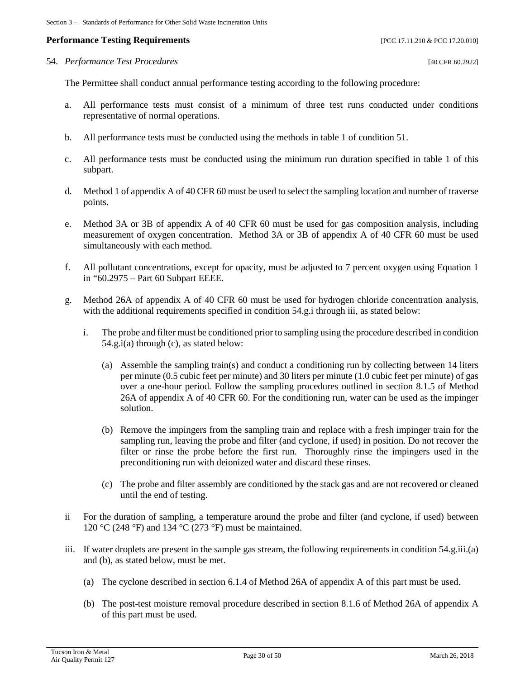#### **Performance Testing Requirements** *Performance Testing Requirements PCC 17.11.210 & PCC 17.20.010*

#### 54. *Performance Test Procedures* [40 CFR 60.2922]

The Permittee shall conduct annual performance testing according to the following procedure:

- a. All performance tests must consist of a minimum of three test runs conducted under conditions representative of normal operations.
- b. All performance tests must be conducted using the methods in table 1 of condition 51.
- c. All performance tests must be conducted using the minimum run duration specified in table 1 of this subpart.
- d. Method 1 of appendix A of 40 CFR 60 must be used to select the sampling location and number of traverse points.
- e. Method 3A or 3B of appendix A of 40 CFR 60 must be used for gas composition analysis, including measurement of oxygen concentration. Method 3A or 3B of appendix A of 40 CFR 60 must be used simultaneously with each method.
- f. All pollutant concentrations, except for opacity, must be adjusted to 7 percent oxygen using Equation 1 in "60.2975 – Part 60 Subpart EEEE.
- g. Method 26A of appendix A of 40 CFR 60 must be used for hydrogen chloride concentration analysis, with the additional requirements specified in condition 54.g.i through iii, as stated below:
	- i. The probe and filter must be conditioned prior to sampling using the procedure described in condition 54.g.i(a) through (c), as stated below:
		- (a) Assemble the sampling train(s) and conduct a conditioning run by collecting between 14 liters per minute (0.5 cubic feet per minute) and 30 liters per minute (1.0 cubic feet per minute) of gas over a one-hour period. Follow the sampling procedures outlined in section 8.1.5 of Method 26A of appendix A of 40 CFR 60. For the conditioning run, water can be used as the impinger solution.
		- (b) Remove the impingers from the sampling train and replace with a fresh impinger train for the sampling run, leaving the probe and filter (and cyclone, if used) in position. Do not recover the filter or rinse the probe before the first run. Thoroughly rinse the impingers used in the preconditioning run with deionized water and discard these rinses.
		- (c) The probe and filter assembly are conditioned by the stack gas and are not recovered or cleaned until the end of testing.
- ii For the duration of sampling, a temperature around the probe and filter (and cyclone, if used) between 120 °C (248 °F) and 134 °C (273 °F) must be maintained.
- iii. If water droplets are present in the sample gas stream, the following requirements in condition 54.g.iii.(a) and (b), as stated below, must be met.
	- (a) The cyclone described in section 6.1.4 of Method 26A of appendix A of this part must be used.
	- (b) The post-test moisture removal procedure described in section 8.1.6 of Method 26A of appendix A of this part must be used.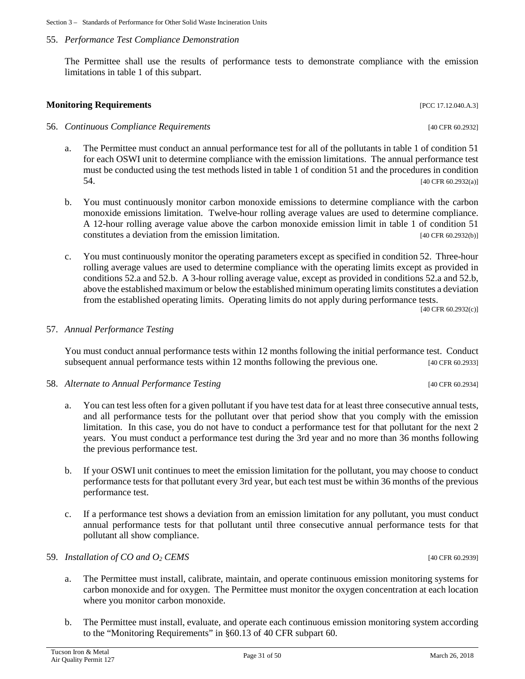## 55. *Performance Test Compliance Demonstration*

The Permittee shall use the results of performance tests to demonstrate compliance with the emission limitations in table 1 of this subpart.

**Monitoring Requirements and the sequence of the sequence of the sequence of the sequence of the sequence of the sequence of the sequence of the sequence of the sequence of the sequence of the sequence of the sequence of** 

- a. The Permittee must conduct an annual performance test for all of the pollutants in table 1 of condition 51 for each OSWI unit to determine compliance with the emission limitations. The annual performance test must be conducted using the test methods listed in table 1 of condition 51 and the procedures in condition 54. [40 CFR 60.2932(a)]
- b. You must continuously monitor carbon monoxide emissions to determine compliance with the carbon monoxide emissions limitation. Twelve-hour rolling average values are used to determine compliance. A 12-hour rolling average value above the carbon monoxide emission limit in table 1 of condition 51 constitutes a deviation from the emission limitation. [40 CFR 60.2932(b)]
- c. You must continuously monitor the operating parameters except as specified in condition 52. Three-hour rolling average values are used to determine compliance with the operating limits except as provided in conditions 52.a and 52.b. A 3-hour rolling average value, except as provided in conditions 52.a and 52.b, above the established maximum or below the established minimum operating limits constitutes a deviation from the established operating limits. Operating limits do not apply during performance tests.

[40 CFR 60.2932(c)]

#### 57. *Annual Performance Testing*

You must conduct annual performance tests within 12 months following the initial performance test. Conduct subsequent annual performance tests within 12 months following the previous one. [40 CFR 60.2933]

#### 58. *Alternate to Annual Performance Testing* [40 CFR 60.2934]

- a. You can test less often for a given pollutant if you have test data for at least three consecutive annual tests, and all performance tests for the pollutant over that period show that you comply with the emission limitation. In this case, you do not have to conduct a performance test for that pollutant for the next 2 years. You must conduct a performance test during the 3rd year and no more than 36 months following the previous performance test.
- b. If your OSWI unit continues to meet the emission limitation for the pollutant, you may choose to conduct performance tests for that pollutant every 3rd year, but each test must be within 36 months of the previous performance test.
- c. If a performance test shows a deviation from an emission limitation for any pollutant, you must conduct annual performance tests for that pollutant until three consecutive annual performance tests for that pollutant all show compliance.

#### 59. *Installation of CO and O2 CEMS* [40 CFR 60.2939]

- a. The Permittee must install, calibrate, maintain, and operate continuous emission monitoring systems for carbon monoxide and for oxygen. The Permittee must monitor the oxygen concentration at each location where you monitor carbon monoxide.
- b. The Permittee must install, evaluate, and operate each continuous emission monitoring system according to the "Monitoring Requirements" in §60.13 of 40 CFR subpart 60.

56. *Continuous Compliance Requirements* [40 CFR 60.2932]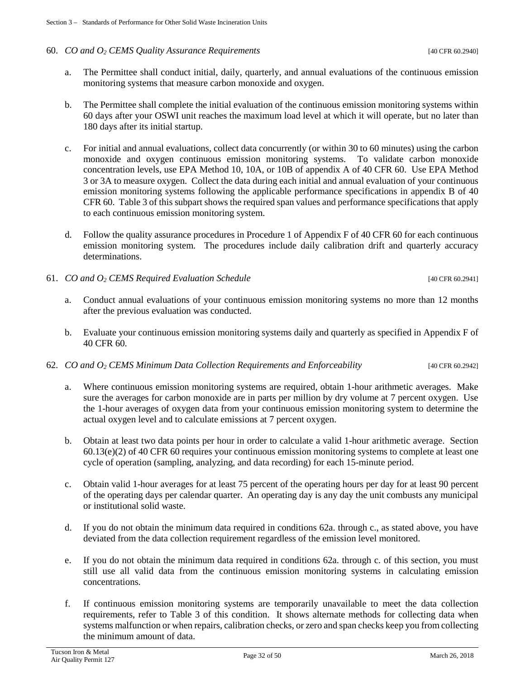#### 60. *CO and O2 CEMS Quality Assurance Requirements* [40 CFR 60.2940]

- a. The Permittee shall conduct initial, daily, quarterly, and annual evaluations of the continuous emission monitoring systems that measure carbon monoxide and oxygen.
- b. The Permittee shall complete the initial evaluation of the continuous emission monitoring systems within 60 days after your OSWI unit reaches the maximum load level at which it will operate, but no later than 180 days after its initial startup.
- c. For initial and annual evaluations, collect data concurrently (or within 30 to 60 minutes) using the carbon monoxide and oxygen continuous emission monitoring systems. To validate carbon monoxide concentration levels, use EPA Method 10, 10A, or 10B of appendix A of 40 CFR 60. Use EPA Method 3 or 3A to measure oxygen. Collect the data during each initial and annual evaluation of your continuous emission monitoring systems following the applicable performance specifications in appendix B of 40 CFR 60. Table 3 of this subpart shows the required span values and performance specifications that apply to each continuous emission monitoring system.
- d. Follow the quality assurance procedures in Procedure 1 of Appendix F of 40 CFR 60 for each continuous emission monitoring system. The procedures include daily calibration drift and quarterly accuracy determinations.
- 61. *CO and O2 CEMS Required Evaluation Schedule* [40 CFR 60.2941]
	- a. Conduct annual evaluations of your continuous emission monitoring systems no more than 12 months after the previous evaluation was conducted.
	- b. Evaluate your continuous emission monitoring systems daily and quarterly as specified in Appendix F of 40 CFR 60.
- 62. *CO and O2 CEMS Minimum Data Collection Requirements and Enforceability* [40 CFR 60.2942]
	- a. Where continuous emission monitoring systems are required, obtain 1-hour arithmetic averages. Make sure the averages for carbon monoxide are in parts per million by dry volume at 7 percent oxygen. Use the 1-hour averages of oxygen data from your continuous emission monitoring system to determine the actual oxygen level and to calculate emissions at 7 percent oxygen.
	- b. Obtain at least two data points per hour in order to calculate a valid 1-hour arithmetic average. Section 60.13(e)(2) of 40 CFR 60 requires your continuous emission monitoring systems to complete at least one cycle of operation (sampling, analyzing, and data recording) for each 15-minute period.
	- c. Obtain valid 1-hour averages for at least 75 percent of the operating hours per day for at least 90 percent of the operating days per calendar quarter. An operating day is any day the unit combusts any municipal or institutional solid waste.
	- d. If you do not obtain the minimum data required in conditions 62a. through c., as stated above, you have deviated from the data collection requirement regardless of the emission level monitored.
	- e. If you do not obtain the minimum data required in conditions 62a. through c. of this section, you must still use all valid data from the continuous emission monitoring systems in calculating emission concentrations.
	- f. If continuous emission monitoring systems are temporarily unavailable to meet the data collection requirements, refer to Table 3 of this condition. It shows alternate methods for collecting data when systems malfunction or when repairs, calibration checks, or zero and span checks keep you from collecting the minimum amount of data.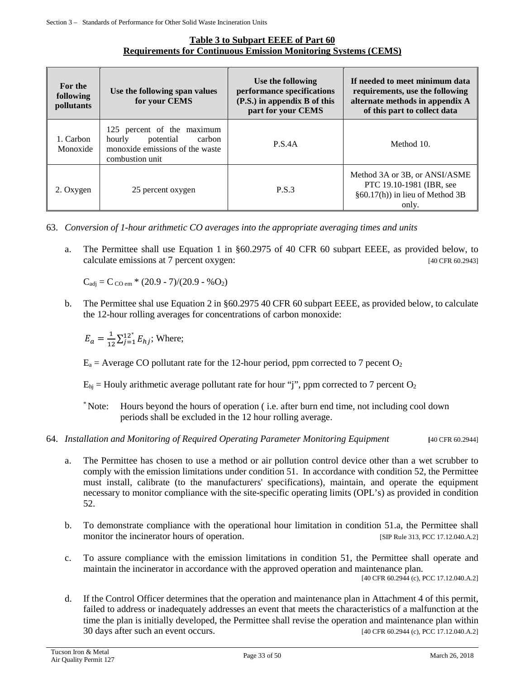#### **Table 3 to Subpart EEEE of Part 60 Requirements for Continuous Emission Monitoring Systems (CEMS)**

| For the<br>following<br><i>pollutants</i> | Use the following span values<br>for your CEMS                                                                    | Use the following<br>performance specifications<br>(P.S.) in appendix B of this<br>part for your CEMS | If needed to meet minimum data<br>requirements, use the following<br>alternate methods in appendix A<br>of this part to collect data |
|-------------------------------------------|-------------------------------------------------------------------------------------------------------------------|-------------------------------------------------------------------------------------------------------|--------------------------------------------------------------------------------------------------------------------------------------|
| 1. Carbon<br>Monoxide                     | 125 percent of the maximum<br>potential<br>hourly<br>carbon<br>monoxide emissions of the waste<br>combustion unit | <b>P.S.4A</b>                                                                                         | Method 10.                                                                                                                           |
| 2. Oxygen                                 | 25 percent oxygen                                                                                                 | <b>P.S.3</b>                                                                                          | Method 3A or 3B, or ANSI/ASME<br>PTC 19.10-1981 (IBR, see<br>§60.17(h)) in lieu of Method 3B<br>only.                                |

63. *Conversion of 1-hour arithmetic CO averages into the appropriate averaging times and units*

a. The Permittee shall use Equation 1 in §60.2975 of 40 CFR 60 subpart EEEE, as provided below, to calculate emissions at 7 percent oxygen: [40 CFR 60.2943]

 $C_{\text{adj}} = C_{\text{CO em}} * (20.9 - 7)/(20.9 - %O<sub>2</sub>)$ 

b. The Permittee shal use Equation 2 in §60.2975 40 CFR 60 subpart EEEE, as provided below, to calculate the 12-hour rolling averages for concentrations of carbon monoxide:

 $E_a = \frac{1}{12} \sum_{j=1}^{12^*} E_{hj}$ ; Where;

 $E_a$  = Average CO pollutant rate for the 12-hour period, ppm corrected to 7 pecent O<sub>2</sub>

 $E_{hi}$  = Houly arithmetic average pollutant rate for hour "j", ppm corrected to 7 percent O<sub>2</sub>

\* Note: Hours beyond the hours of operation ( i.e. after burn end time, not including cool down periods shall be excluded in the 12 hour rolling average.

#### 64. *Installation and Monitoring of Required Operating Parameter Monitoring Equipment* **[**40 CFR 60.2944]

- a. The Permittee has chosen to use a method or air pollution control device other than a wet scrubber to comply with the emission limitations under condition 51. In accordance with condition 52, the Permittee must install, calibrate (to the manufacturers' specifications), maintain, and operate the equipment necessary to monitor compliance with the site-specific operating limits (OPL's) as provided in condition 52.
- b. To demonstrate compliance with the operational hour limitation in condition 51.a, the Permittee shall monitor the incinerator hours of operation. [SIP Rule 313, PCC 17.12.040.A.2]
- c. To assure compliance with the emission limitations in condition 51, the Permittee shall operate and maintain the incinerator in accordance with the approved operation and maintenance plan.

[40 CFR 60.2944 (c), PCC 17.12.040.A.2]

d. If the Control Officer determines that the operation and maintenance plan in Attachment 4 of this permit, failed to address or inadequately addresses an event that meets the characteristics of a malfunction at the time the plan is initially developed, the Permittee shall revise the operation and maintenance plan within 30 days after such an event occurs. [40 CFR 60.2944 (c), PCC 17.12.040.A.2]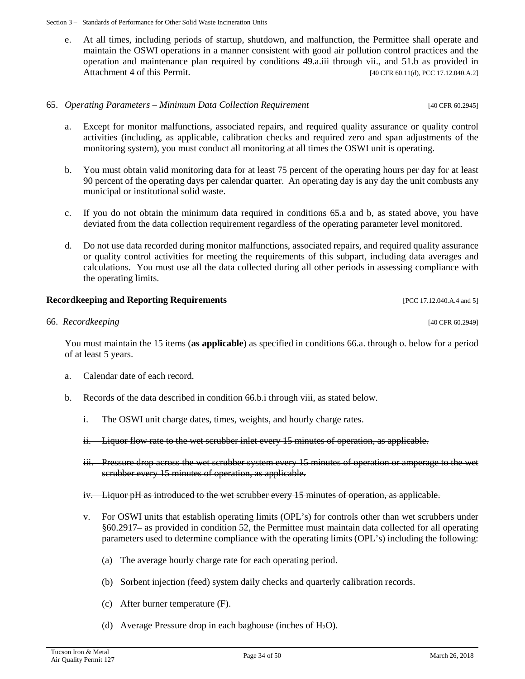e. At all times, including periods of startup, shutdown, and malfunction, the Permittee shall operate and maintain the OSWI operations in a manner consistent with good air pollution control practices and the operation and maintenance plan required by conditions 49.a.iii through vii., and 51.b as provided in Attachment 4 of this Permit. [40 CFR 60.11(d), PCC 17.12.040.A.2]

#### 65. *Operating Parameters – Minimum Data Collection Requirement* [40 CFR 60.2945]

- a. Except for monitor malfunctions, associated repairs, and required quality assurance or quality control activities (including, as applicable, calibration checks and required zero and span adjustments of the monitoring system), you must conduct all monitoring at all times the OSWI unit is operating.
- b. You must obtain valid monitoring data for at least 75 percent of the operating hours per day for at least 90 percent of the operating days per calendar quarter. An operating day is any day the unit combusts any municipal or institutional solid waste.
- c. If you do not obtain the minimum data required in conditions 65.a and b, as stated above, you have deviated from the data collection requirement regardless of the operating parameter level monitored.
- d. Do not use data recorded during monitor malfunctions, associated repairs, and required quality assurance or quality control activities for meeting the requirements of this subpart, including data averages and calculations. You must use all the data collected during all other periods in assessing compliance with the operating limits.

#### **Recordkeeping and Reporting Requirements PCC 17.12.040.A.4 and 5] Recordkeeping and Reporting Requirements**

#### 66. *Recordkeeping* [40 CFR 60.2949]

You must maintain the 15 items (**as applicable**) as specified in conditions 66.a. through o. below for a period of at least 5 years.

- a. Calendar date of each record.
- b. Records of the data described in condition 66.b.i through viii, as stated below.
	- i. The OSWI unit charge dates, times, weights, and hourly charge rates.
	- ii. Liquor flow rate to the wet scrubber inlet every 15 minutes of operation, as applicable.
	- iii. Pressure drop across the wet scrubber system every 15 minutes of operation or amperage to the wet scrubber every 15 minutes of operation, as applicable.
	- iv. Liquor pH as introduced to the wet scrubber every 15 minutes of operation, as applicable.
	- v. For OSWI units that establish operating limits (OPL's) for controls other than wet scrubbers under §60.2917– as provided in condition 52, the Permittee must maintain data collected for all operating parameters used to determine compliance with the operating limits (OPL's) including the following:
		- (a) The average hourly charge rate for each operating period.
		- (b) Sorbent injection (feed) system daily checks and quarterly calibration records.
		- (c) After burner temperature (F).
		- (d) Average Pressure drop in each baghouse (inches of  $H_2O$ ).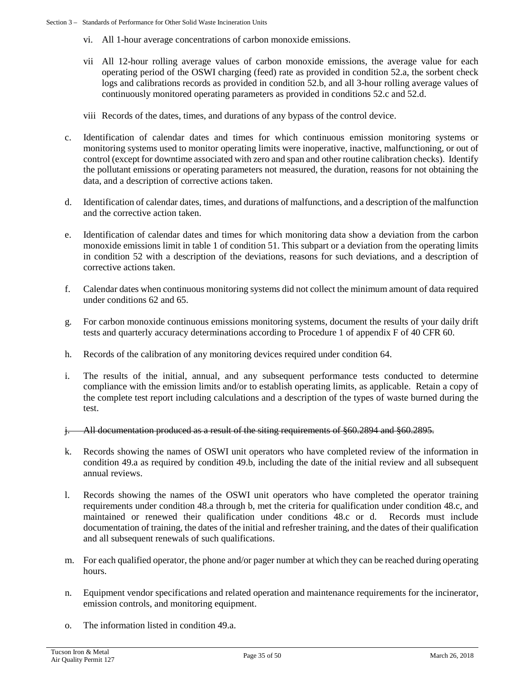- vi. All 1-hour average concentrations of carbon monoxide emissions.
- vii All 12-hour rolling average values of carbon monoxide emissions, the average value for each operating period of the OSWI charging (feed) rate as provided in condition 52.a, the sorbent check logs and calibrations records as provided in condition 52.b, and all 3-hour rolling average values of continuously monitored operating parameters as provided in conditions 52.c and 52.d.
- viii Records of the dates, times, and durations of any bypass of the control device.
- c. Identification of calendar dates and times for which continuous emission monitoring systems or monitoring systems used to monitor operating limits were inoperative, inactive, malfunctioning, or out of control (except for downtime associated with zero and span and other routine calibration checks). Identify the pollutant emissions or operating parameters not measured, the duration, reasons for not obtaining the data, and a description of corrective actions taken.
- d. Identification of calendar dates, times, and durations of malfunctions, and a description of the malfunction and the corrective action taken.
- e. Identification of calendar dates and times for which monitoring data show a deviation from the carbon monoxide emissions limit in table 1 of condition 51. This subpart or a deviation from the operating limits in condition 52 with a description of the deviations, reasons for such deviations, and a description of corrective actions taken.
- f. Calendar dates when continuous monitoring systems did not collect the minimum amount of data required under conditions 62 and 65.
- g. For carbon monoxide continuous emissions monitoring systems, document the results of your daily drift tests and quarterly accuracy determinations according to Procedure 1 of appendix F of 40 CFR 60.
- h. Records of the calibration of any monitoring devices required under condition 64.
- i. The results of the initial, annual, and any subsequent performance tests conducted to determine compliance with the emission limits and/or to establish operating limits, as applicable. Retain a copy of the complete test report including calculations and a description of the types of waste burned during the test.
- j. All documentation produced as a result of the siting requirements of §60.2894 and §60.2895.
- k. Records showing the names of OSWI unit operators who have completed review of the information in condition 49.a as required by condition 49.b, including the date of the initial review and all subsequent annual reviews.
- l. Records showing the names of the OSWI unit operators who have completed the operator training requirements under condition 48.a through b, met the criteria for qualification under condition 48.c, and maintained or renewed their qualification under conditions 48.c or d. Records must include documentation of training, the dates of the initial and refresher training, and the dates of their qualification and all subsequent renewals of such qualifications.
- m. For each qualified operator, the phone and/or pager number at which they can be reached during operating hours.
- n. Equipment vendor specifications and related operation and maintenance requirements for the incinerator, emission controls, and monitoring equipment.
- o. The information listed in condition 49.a.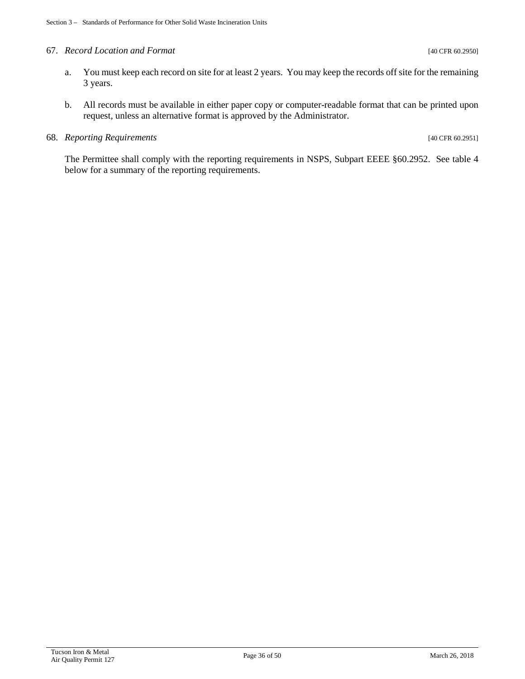#### 67. *Record Location and Format* [40 CFR 60.2950]

- a. You must keep each record on site for at least 2 years. You may keep the records off site for the remaining 3 years.
- b. All records must be available in either paper copy or computer-readable format that can be printed upon request, unless an alternative format is approved by the Administrator.

#### 68. *Reporting Requirements* [40 CFR 60.2951]

The Permittee shall comply with the reporting requirements in NSPS, Subpart EEEE §60.2952. See table 4 below for a summary of the reporting requirements.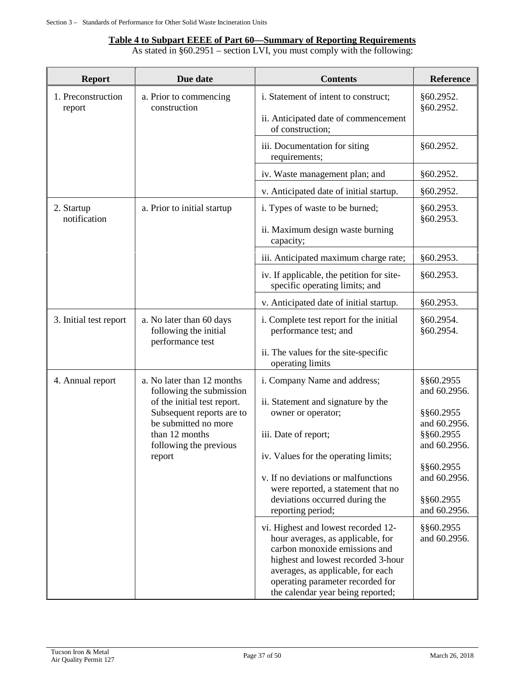# **Table 4 to Subpart EEEE of Part 60—Summary of Reporting Requirements**

As stated in §60.2951 – section LVI, you must comply with the following:

| <b>Report</b>                | Due date                                                                                      | <b>Contents</b>                                                                                                                                                                                                                                               | Reference                                              |
|------------------------------|-----------------------------------------------------------------------------------------------|---------------------------------------------------------------------------------------------------------------------------------------------------------------------------------------------------------------------------------------------------------------|--------------------------------------------------------|
| 1. Preconstruction<br>report | a. Prior to commencing<br>construction                                                        | i. Statement of intent to construct;<br>ii. Anticipated date of commencement<br>of construction;                                                                                                                                                              | §60.2952.<br>§60.2952.                                 |
|                              |                                                                                               | iii. Documentation for siting<br>requirements;                                                                                                                                                                                                                | §60.2952.                                              |
|                              |                                                                                               | iv. Waste management plan; and                                                                                                                                                                                                                                | §60.2952.                                              |
|                              |                                                                                               | v. Anticipated date of initial startup.                                                                                                                                                                                                                       | §60.2952.                                              |
| 2. Startup<br>notification   | a. Prior to initial startup                                                                   | i. Types of waste to be burned;<br>ii. Maximum design waste burning<br>capacity;                                                                                                                                                                              | §60.2953.<br>§60.2953.                                 |
|                              |                                                                                               | iii. Anticipated maximum charge rate;                                                                                                                                                                                                                         | §60.2953.                                              |
|                              |                                                                                               | iv. If applicable, the petition for site-<br>specific operating limits; and                                                                                                                                                                                   | §60.2953.                                              |
|                              |                                                                                               | v. Anticipated date of initial startup.                                                                                                                                                                                                                       | §60.2953.                                              |
| 3. Initial test report       | a. No later than 60 days<br>following the initial<br>performance test                         | i. Complete test report for the initial<br>performance test; and                                                                                                                                                                                              | §60.2954.<br>§60.2954.                                 |
|                              |                                                                                               | ii. The values for the site-specific<br>operating limits                                                                                                                                                                                                      |                                                        |
| 4. Annual report             | a. No later than 12 months<br>following the submission<br>of the initial test report.         | i. Company Name and address;<br>ii. Statement and signature by the                                                                                                                                                                                            | §§60.2955<br>and 60.2956.                              |
|                              | Subsequent reports are to<br>be submitted no more<br>than 12 months<br>following the previous | owner or operator;<br>iii. Date of report;                                                                                                                                                                                                                    | §§60.2955<br>and 60.2956.<br>§§60.2955<br>and 60.2956. |
|                              | report                                                                                        | iv. Values for the operating limits;<br>v. If no deviations or malfunctions<br>were reported, a statement that no<br>deviations occurred during the<br>reporting period;                                                                                      | §§60.2955<br>and 60.2956.<br>§§60.2955<br>and 60.2956. |
|                              |                                                                                               | vi. Highest and lowest recorded 12-<br>hour averages, as applicable, for<br>carbon monoxide emissions and<br>highest and lowest recorded 3-hour<br>averages, as applicable, for each<br>operating parameter recorded for<br>the calendar year being reported; | §§60.2955<br>and 60.2956.                              |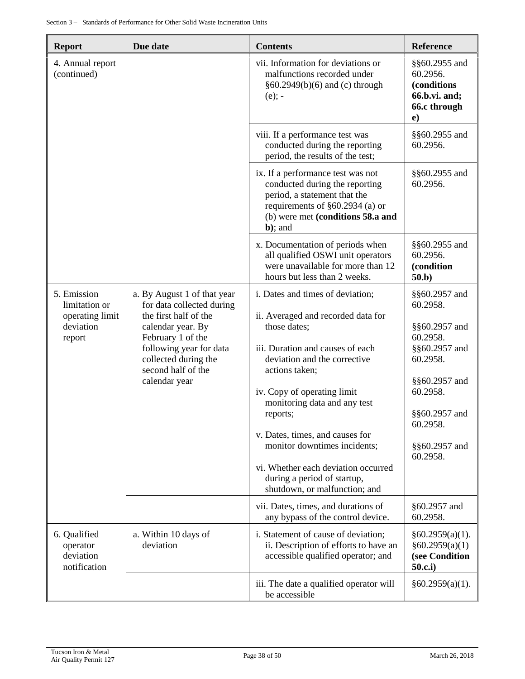| <b>Report</b>                                         | Due date                                                                                                                                 | <b>Contents</b>                                                                                                                                                                           | Reference                                                                             |
|-------------------------------------------------------|------------------------------------------------------------------------------------------------------------------------------------------|-------------------------------------------------------------------------------------------------------------------------------------------------------------------------------------------|---------------------------------------------------------------------------------------|
| 4. Annual report<br>(continued)                       |                                                                                                                                          | vii. Information for deviations or<br>malfunctions recorded under<br>§60.2949(b)(6) and (c) through<br>$(e)$ ; -                                                                          | §§60.2955 and<br>60.2956.<br>(conditions<br>66.b.vi. and;<br>66.c through<br>$\bf e)$ |
|                                                       |                                                                                                                                          | viii. If a performance test was<br>conducted during the reporting<br>period, the results of the test;                                                                                     | §§60.2955 and<br>60.2956.                                                             |
|                                                       |                                                                                                                                          | ix. If a performance test was not<br>conducted during the reporting<br>period, a statement that the<br>requirements of §60.2934 (a) or<br>(b) were met (conditions 58.a and<br>$b$ ); and | §§60.2955 and<br>60.2956.                                                             |
|                                                       |                                                                                                                                          | x. Documentation of periods when<br>all qualified OSWI unit operators<br>were unavailable for more than 12<br>hours but less than 2 weeks.                                                | §§60.2955 and<br>60.2956.<br>(condition<br>50.b)                                      |
| 5. Emission<br>limitation or                          | a. By August 1 of that year<br>for data collected during                                                                                 | i. Dates and times of deviation;                                                                                                                                                          | §§60.2957 and<br>60.2958.                                                             |
| operating limit<br>deviation<br>report                | the first half of the<br>calendar year. By<br>February 1 of the<br>following year for data<br>collected during the<br>second half of the | ii. Averaged and recorded data for<br>those dates;<br>iii. Duration and causes of each<br>deviation and the corrective<br>actions taken;                                                  | §§60.2957 and<br>60.2958.<br>§§60.2957 and<br>60.2958.                                |
|                                                       | calendar year                                                                                                                            | iv. Copy of operating limit<br>monitoring data and any test                                                                                                                               | §§60.2957 and<br>60.2958.                                                             |
|                                                       |                                                                                                                                          | reports;                                                                                                                                                                                  | §§60.2957 and<br>60.2958.                                                             |
|                                                       |                                                                                                                                          | v. Dates, times, and causes for<br>monitor downtimes incidents;                                                                                                                           | §§60.2957 and<br>60.2958.                                                             |
|                                                       |                                                                                                                                          | vi. Whether each deviation occurred<br>during a period of startup,<br>shutdown, or malfunction; and                                                                                       |                                                                                       |
|                                                       |                                                                                                                                          | vii. Dates, times, and durations of<br>any bypass of the control device.                                                                                                                  | §60.2957 and<br>60.2958.                                                              |
| 6. Qualified<br>operator<br>deviation<br>notification | a. Within 10 days of<br>deviation                                                                                                        | i. Statement of cause of deviation;<br>ii. Description of efforts to have an<br>accessible qualified operator; and                                                                        | §60.2959(a)(1).<br>§60.2959(a)(1)<br>(see Condition<br>50.c.i)                        |
|                                                       |                                                                                                                                          | iii. The date a qualified operator will<br>be accessible                                                                                                                                  | §60.2959(a)(1).                                                                       |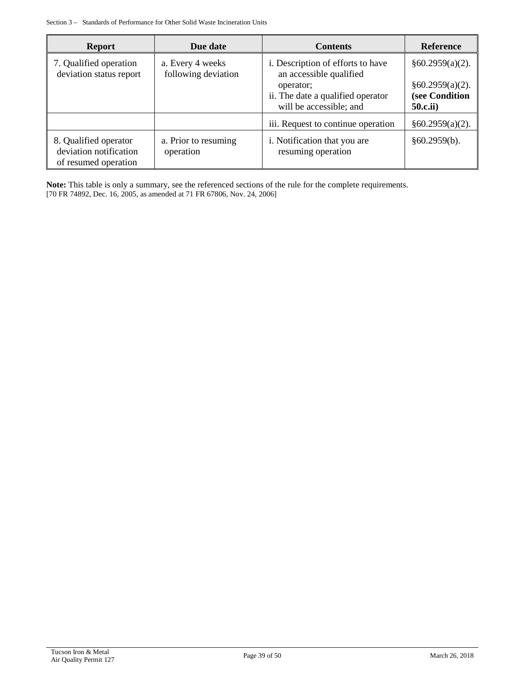| <b>Report</b>                                                           | Due date                                | <b>Contents</b>                                                           | <b>Reference</b>                                      |
|-------------------------------------------------------------------------|-----------------------------------------|---------------------------------------------------------------------------|-------------------------------------------------------|
| 7. Qualified operation<br>deviation status report                       | a. Every 4 weeks<br>following deviation | i. Description of efforts to have<br>an accessible qualified              | §60.2959(a)(2).                                       |
|                                                                         |                                         | operator;<br>ii. The date a qualified operator<br>will be accessible; and | §60.2959(a)(2).<br>(see Condition<br><b>50.c.ii</b> ) |
|                                                                         |                                         | iii. Request to continue operation                                        | §60.2959(a)(2).                                       |
| 8. Qualified operator<br>deviation notification<br>of resumed operation | a. Prior to resuming<br>operation       | i. Notification that you are<br>resuming operation                        | §60.2959(b).                                          |

**Note:** This table is only a summary, see the referenced sections of the rule for the complete requirements. [70 FR 74892, Dec. 16, 2005, as amended at 71 FR 67806, Nov. 24, 2006]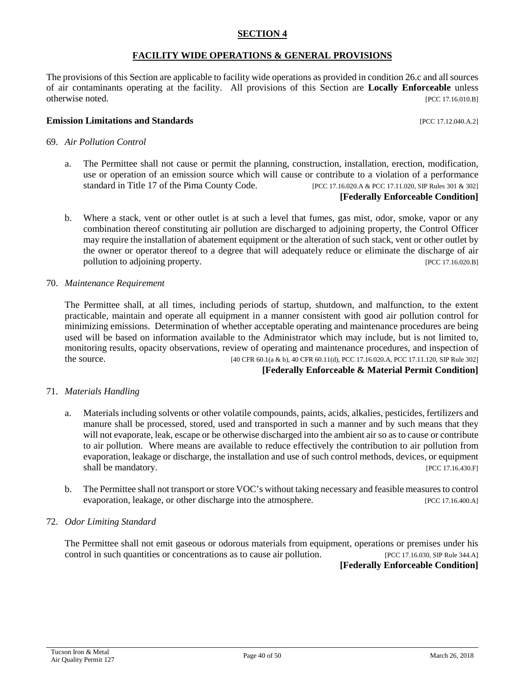#### **SECTION 4**

#### **FACILITY WIDE OPERATIONS & GENERAL PROVISIONS**

The provisions of this Section are applicable to facility wide operations as provided in condition 26.c and all sources of air contaminants operating at the facility. All provisions of this Section are **Locally Enforceable** unless otherwise noted. [PCC 17.16.010.B]

#### **Emission Limitations and Standards Exercíal Exercíal Exercíal Analysis and Standards Exercíal Exercíal Exercíal Exercíal Exercíal Exercíal Exercíal Exercíal Exercíal Exercíal Exercíal Exercíal Exercíal Exercíal Exercí**

- 69. *Air Pollution Control*
	- a. The Permittee shall not cause or permit the planning, construction, installation, erection, modification, use or operation of an emission source which will cause or contribute to a violation of a performance standard in Title 17 of the Pima County Code. [PCC 17.16.020.A & PCC 17.11.020, SIP Rules 301 & 302]

#### **[Federally Enforceable Condition]**

b. Where a stack, vent or other outlet is at such a level that fumes, gas mist, odor, smoke, vapor or any combination thereof constituting air pollution are discharged to adjoining property, the Control Officer may require the installation of abatement equipment or the alteration of such stack, vent or other outlet by the owner or operator thereof to a degree that will adequately reduce or eliminate the discharge of air pollution to adjoining property. [PCC 17.16.020.B]

#### 70. *Maintenance Requirement*

The Permittee shall, at all times, including periods of startup, shutdown, and malfunction, to the extent practicable, maintain and operate all equipment in a manner consistent with good air pollution control for minimizing emissions. Determination of whether acceptable operating and maintenance procedures are being used will be based on information available to the Administrator which may include, but is not limited to, monitoring results, opacity observations, review of operating and maintenance procedures, and inspection of the source. [40 CFR 60.1(a & b), 40 CFR 60.11(d), PCC 17.16.020.A, PCC 17.11.120, SIP Rule 302]

#### **[Federally Enforceable & Material Permit Condition]**

#### 71. *Materials Handling*

- a. Materials including solvents or other volatile compounds, paints, acids, alkalies, pesticides, fertilizers and manure shall be processed, stored, used and transported in such a manner and by such means that they will not evaporate, leak, escape or be otherwise discharged into the ambient air so as to cause or contribute to air pollution. Where means are available to reduce effectively the contribution to air pollution from evaporation, leakage or discharge, the installation and use of such control methods, devices, or equipment shall be mandatory. [PCC 17.16.430.F]
- b. The Permittee shall not transport or store VOC's without taking necessary and feasible measures to control evaporation, leakage, or other discharge into the atmosphere. [PCC 17.16.400.A]

#### 72. *Odor Limiting Standard*

The Permittee shall not emit gaseous or odorous materials from equipment, operations or premises under his control in such quantities or concentrations as to cause air pollution. [PCC 17.16.030, SIP Rule 344.A]

**[Federally Enforceable Condition]**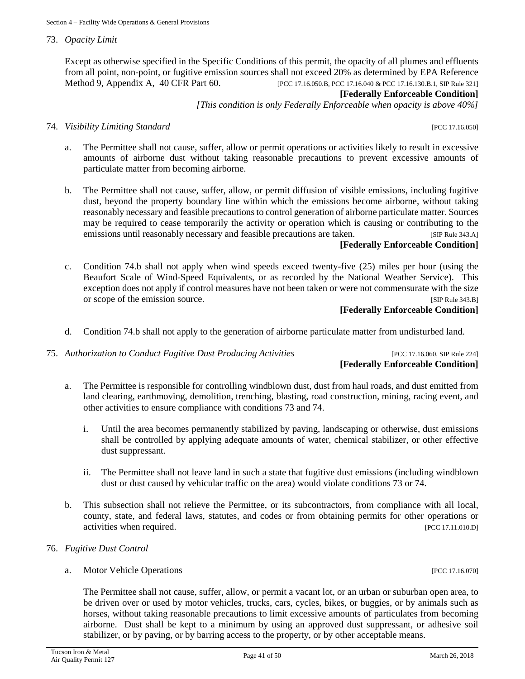73. *Opacity Limit*

Except as otherwise specified in the Specific Conditions of this permit, the opacity of all plumes and effluents from all point, non-point, or fugitive emission sources shall not exceed 20% as determined by EPA Reference Method 9, Appendix A, 40 CFR Part 60. [PCC 17.16.050.B, PCC 17.16.040 & PCC 17.16.130.B.1, SIP Rule 321]

#### **[Federally Enforceable Condition]**

*[This condition is only Federally Enforceable when opacity is above 40%]*

#### 74. *Visibility Limiting Standard* [PCC 17.16.050]

- a. The Permittee shall not cause, suffer, allow or permit operations or activities likely to result in excessive amounts of airborne dust without taking reasonable precautions to prevent excessive amounts of particulate matter from becoming airborne.
- b. The Permittee shall not cause, suffer, allow, or permit diffusion of visible emissions, including fugitive dust, beyond the property boundary line within which the emissions become airborne, without taking reasonably necessary and feasible precautions to control generation of airborne particulate matter. Sources may be required to cease temporarily the activity or operation which is causing or contributing to the emissions until reasonably necessary and feasible precautions are taken. [SIP Rule 343.A]

# **[Federally Enforceable Condition]**

c. Condition 74.b shall not apply when wind speeds exceed twenty-five (25) miles per hour (using the Beaufort Scale of Wind-Speed Equivalents, or as recorded by the National Weather Service). This exception does not apply if control measures have not been taken or were not commensurate with the size or scope of the emission source. [SIP Rule 343.B]

## **[Federally Enforceable Condition]**

d. Condition 74.b shall not apply to the generation of airborne particulate matter from undisturbed land.

#### 75. *Authorization to Conduct Fugitive Dust Producing Activities* [PCC 17.16.060, SIP Rule 224]

# **[Federally Enforceable Condition]**

- a. The Permittee is responsible for controlling windblown dust, dust from haul roads, and dust emitted from land clearing, earthmoving, demolition, trenching, blasting, road construction, mining, racing event, and other activities to ensure compliance with conditions 73 and 74.
	- i. Until the area becomes permanently stabilized by paving, landscaping or otherwise, dust emissions shall be controlled by applying adequate amounts of water, chemical stabilizer, or other effective dust suppressant.
	- ii. The Permittee shall not leave land in such a state that fugitive dust emissions (including windblown dust or dust caused by vehicular traffic on the area) would violate conditions 73 or 74.
- b. This subsection shall not relieve the Permittee, or its subcontractors, from compliance with all local, county, state, and federal laws, statutes, and codes or from obtaining permits for other operations or activities when required. [PCC 17.11.010.D]
- 76. *Fugitive Dust Control*
	- a. Motor Vehicle Operations [PCC 17.16.070]

The Permittee shall not cause, suffer, allow, or permit a vacant lot, or an urban or suburban open area, to be driven over or used by motor vehicles, trucks, cars, cycles, bikes, or buggies, or by animals such as horses, without taking reasonable precautions to limit excessive amounts of particulates from becoming airborne. Dust shall be kept to a minimum by using an approved dust suppressant, or adhesive soil stabilizer, or by paving, or by barring access to the property, or by other acceptable means.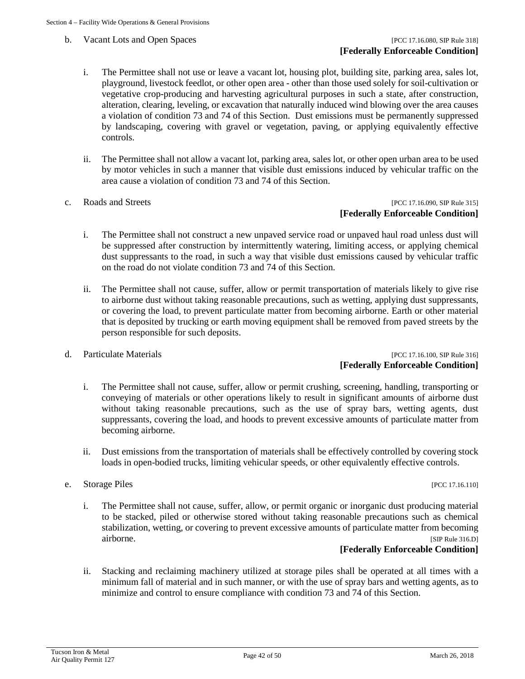b. Vacant Lots and Open Spaces [PCC 17.16.080, SIP Rule 318]

- i. The Permittee shall not use or leave a vacant lot, housing plot, building site, parking area, sales lot, playground, livestock feedlot, or other open area - other than those used solely for soil-cultivation or vegetative crop-producing and harvesting agricultural purposes in such a state, after construction, alteration, clearing, leveling, or excavation that naturally induced wind blowing over the area causes a violation of condition 73 and 74 of this Section. Dust emissions must be permanently suppressed by landscaping, covering with gravel or vegetation, paving, or applying equivalently effective controls.
- ii. The Permittee shall not allow a vacant lot, parking area, sales lot, or other open urban area to be used by motor vehicles in such a manner that visible dust emissions induced by vehicular traffic on the area cause a violation of condition 73 and 74 of this Section.
- 

#### c. Roads and Streets [PCC 17.16.090, SIP Rule 315] **[Federally Enforceable Condition]**

- i. The Permittee shall not construct a new unpaved service road or unpaved haul road unless dust will be suppressed after construction by intermittently watering, limiting access, or applying chemical dust suppressants to the road, in such a way that visible dust emissions caused by vehicular traffic on the road do not violate condition 73 and 74 of this Section.
- ii. The Permittee shall not cause, suffer, allow or permit transportation of materials likely to give rise to airborne dust without taking reasonable precautions, such as wetting, applying dust suppressants, or covering the load, to prevent particulate matter from becoming airborne. Earth or other material that is deposited by trucking or earth moving equipment shall be removed from paved streets by the person responsible for such deposits.
- 

#### d. Particulate Materials [PCC 17.16.100, SIP Rule 316] **[Federally Enforceable Condition]**

- i. The Permittee shall not cause, suffer, allow or permit crushing, screening, handling, transporting or conveying of materials or other operations likely to result in significant amounts of airborne dust without taking reasonable precautions, such as the use of spray bars, wetting agents, dust suppressants, covering the load, and hoods to prevent excessive amounts of particulate matter from becoming airborne.
- ii. Dust emissions from the transportation of materials shall be effectively controlled by covering stock loads in open-bodied trucks, limiting vehicular speeds, or other equivalently effective controls.
- e. Storage Piles [PCC 17.16.110]
	- i. The Permittee shall not cause, suffer, allow, or permit organic or inorganic dust producing material to be stacked, piled or otherwise stored without taking reasonable precautions such as chemical stabilization, wetting, or covering to prevent excessive amounts of particulate matter from becoming airborne. [SIP Rule 316.D]

#### **[Federally Enforceable Condition]**

ii. Stacking and reclaiming machinery utilized at storage piles shall be operated at all times with a minimum fall of material and in such manner, or with the use of spray bars and wetting agents, as to minimize and control to ensure compliance with condition 73 and 74 of this Section.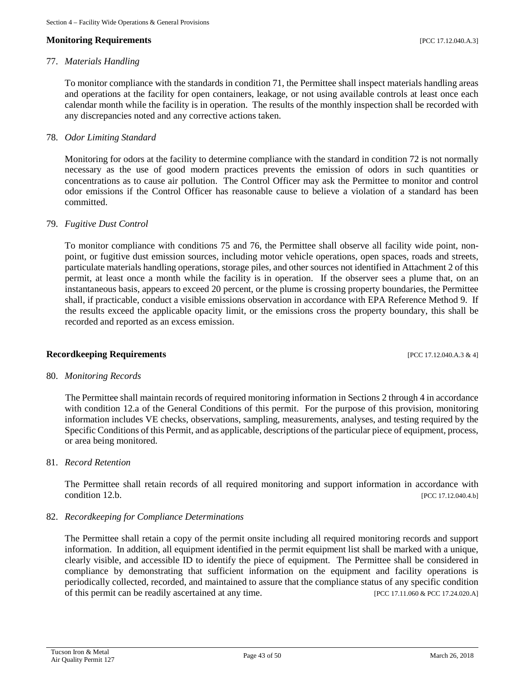#### **Monitoring Requirements and the sequence of the sequence of the sequence of the sequence of the sequence of the sequence of the sequence of the sequence of the sequence of the sequence of the sequence of the sequence of**

#### 77. *Materials Handling*

To monitor compliance with the standards in condition 71, the Permittee shall inspect materials handling areas and operations at the facility for open containers, leakage, or not using available controls at least once each calendar month while the facility is in operation. The results of the monthly inspection shall be recorded with any discrepancies noted and any corrective actions taken.

#### 78. *Odor Limiting Standard*

Monitoring for odors at the facility to determine compliance with the standard in condition 72 is not normally necessary as the use of good modern practices prevents the emission of odors in such quantities or concentrations as to cause air pollution. The Control Officer may ask the Permittee to monitor and control odor emissions if the Control Officer has reasonable cause to believe a violation of a standard has been committed.

#### 79. *Fugitive Dust Control*

To monitor compliance with conditions 75 and 76, the Permittee shall observe all facility wide point, nonpoint, or fugitive dust emission sources, including motor vehicle operations, open spaces, roads and streets, particulate materials handling operations, storage piles, and other sources not identified in Attachment 2 of this permit, at least once a month while the facility is in operation. If the observer sees a plume that, on an instantaneous basis, appears to exceed 20 percent, or the plume is crossing property boundaries, the Permittee shall, if practicable, conduct a visible emissions observation in accordance with EPA Reference Method 9. If the results exceed the applicable opacity limit, or the emissions cross the property boundary, this shall be recorded and reported as an excess emission.

#### **Recordkeeping Requirements** [PCC 17.12.040.A.3 & 4]

#### 80. *Monitoring Records*

The Permittee shall maintain records of required monitoring information in Sections 2 through 4 in accordance with condition 12.a of the General Conditions of this permit. For the purpose of this provision, monitoring information includes VE checks, observations, sampling, measurements, analyses, and testing required by the Specific Conditions of this Permit, and as applicable, descriptions of the particular piece of equipment, process, or area being monitored.

#### 81. *Record Retention*

The Permittee shall retain records of all required monitoring and support information in accordance with condition 12.b. **[PCC 17.12.040.4.b]** 

#### 82. *Recordkeeping for Compliance Determinations*

The Permittee shall retain a copy of the permit onsite including all required monitoring records and support information. In addition, all equipment identified in the permit equipment list shall be marked with a unique, clearly visible, and accessible ID to identify the piece of equipment. The Permittee shall be considered in compliance by demonstrating that sufficient information on the equipment and facility operations is periodically collected, recorded, and maintained to assure that the compliance status of any specific condition of this permit can be readily ascertained at any time. [PCC 17.11.060 & PCC 17.24.020.A]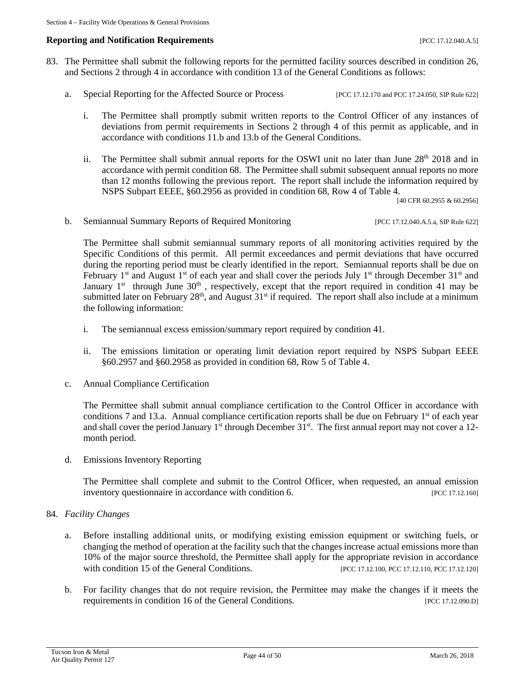#### **Reporting and Notification Requirements Example 2018 EXECUTE:** [PCC 17.12.040.A.5]

- 83. The Permittee shall submit the following reports for the permitted facility sources described in condition 26, and Sections 2 through 4 in accordance with condition 13 of the General Conditions as follows:
	- a. Special Reporting for the Affected Source or Process [PCC 17.12.170 and PCC 17.24.050, SIP Rule 622]
		- i. The Permittee shall promptly submit written reports to the Control Officer of any instances of deviations from permit requirements in Sections 2 through 4 of this permit as applicable, and in accordance with conditions 11.b and 13.b of the General Conditions.
		- ii. The Permittee shall submit annual reports for the OSWI unit no later than June  $28<sup>th</sup>$  2018 and in accordance with permit condition 68. The Permittee shall submit subsequent annual reports no more than 12 months following the previous report. The report shall include the information required by NSPS Subpart EEEE, §60.2956 as provided in condition 68, Row 4 of Table 4.

[40 CFR 60.2955 & 60.2956]

b. Semiannual Summary Reports of Required Monitoring [PCC 17.12.040.A.5.a, SIP Rule 622]

The Permittee shall submit semiannual summary reports of all monitoring activities required by the Specific Conditions of this permit. All permit exceedances and permit deviations that have occurred during the reporting period must be clearly identified in the report. Semiannual reports shall be due on February 1<sup>st</sup> and August 1<sup>st</sup> of each year and shall cover the periods July 1<sup>st</sup> through December 31<sup>st</sup> and January  $1<sup>st</sup>$  through June  $30<sup>th</sup>$ , respectively, except that the report required in condition 41 may be submitted later on February 28<sup>th</sup>, and August 31<sup>st</sup> if required. The report shall also include at a minimum the following information:

- i. The semiannual excess emission/summary report required by condition 41.
- ii. The emissions limitation or operating limit deviation report required by NSPS Subpart EEEE §60.2957 and §60.2958 as provided in condition 68, Row 5 of Table 4.
- c. Annual Compliance Certification

The Permittee shall submit annual compliance certification to the Control Officer in accordance with conditions 7 and 13.a. Annual compliance certification reports shall be due on February  $1<sup>st</sup>$  of each year and shall cover the period January 1<sup>st</sup> through December 31<sup>st</sup>. The first annual report may not cover a 12month period.

d. Emissions Inventory Reporting

The Permittee shall complete and submit to the Control Officer, when requested, an annual emission inventory questionnaire in accordance with condition 6. [PCC 17.12.160]

#### 84. *Facility Changes*

- a. Before installing additional units, or modifying existing emission equipment or switching fuels, or changing the method of operation at the facility such that the changes increase actual emissions more than 10% of the major source threshold, the Permittee shall apply for the appropriate revision in accordance with condition 15 of the General Conditions. [PCC 17.12.100, PCC 17.12.110, PCC 17.12.120]
- b. For facility changes that do not require revision, the Permittee may make the changes if it meets the requirements in condition 16 of the General Conditions. [PCC 17.12.090.D]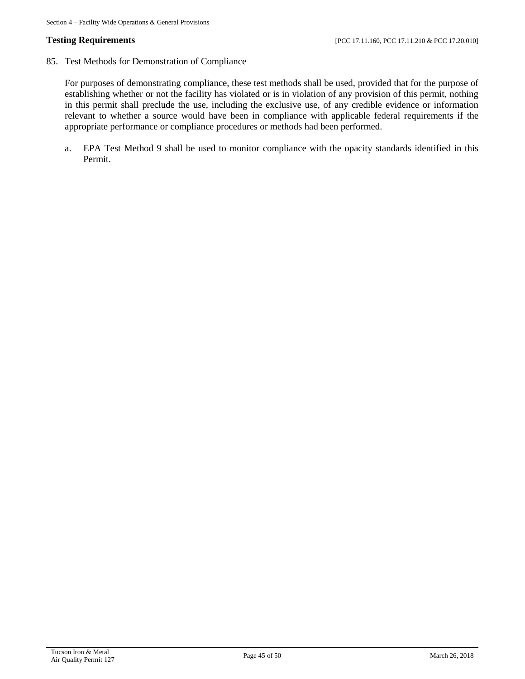85. Test Methods for Demonstration of Compliance

For purposes of demonstrating compliance, these test methods shall be used, provided that for the purpose of establishing whether or not the facility has violated or is in violation of any provision of this permit, nothing in this permit shall preclude the use, including the exclusive use, of any credible evidence or information relevant to whether a source would have been in compliance with applicable federal requirements if the appropriate performance or compliance procedures or methods had been performed.

a. EPA Test Method 9 shall be used to monitor compliance with the opacity standards identified in this Permit.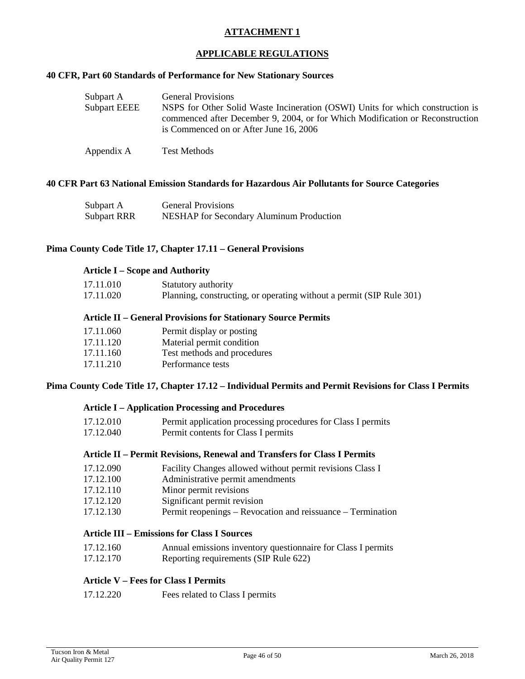#### **APPLICABLE REGULATIONS**

#### **40 CFR, Part 60 Standards of Performance for New Stationary Sources**

| Subpart A           | <b>General Provisions</b>                                                                                                                                                                                 |
|---------------------|-----------------------------------------------------------------------------------------------------------------------------------------------------------------------------------------------------------|
| <b>Subpart EEEE</b> | NSPS for Other Solid Waste Incineration (OSWI) Units for which construction is<br>commenced after December 9, 2004, or for Which Modification or Reconstruction<br>is Commenced on or After June 16, 2006 |
| Appendix A          | <b>Test Methods</b>                                                                                                                                                                                       |

#### **40 CFR Part 63 National Emission Standards for Hazardous Air Pollutants for Source Categories**

| Subpart A          | <b>General Provisions</b>                       |
|--------------------|-------------------------------------------------|
| <b>Subpart RRR</b> | <b>NESHAP</b> for Secondary Aluminum Production |

#### **Pima County Code Title 17, Chapter 17.11 – General Provisions**

#### **Article I – Scope and Authority**

| 17.11.010 | Statutory authority                                                  |
|-----------|----------------------------------------------------------------------|
| 17.11.020 | Planning, constructing, or operating without a permit (SIP Rule 301) |
|           |                                                                      |

#### **Article II – General Provisions for Stationary Source Permits**

| 17.11.060 | Permit display or posting   |
|-----------|-----------------------------|
| 17.11.120 | Material permit condition   |
| 17.11.160 | Test methods and procedures |
| 17.11.210 | Performance tests           |

#### **Pima County Code Title 17, Chapter 17.12 – Individual Permits and Permit Revisions for Class I Permits**

#### **Article I – Application Processing and Procedures**

| 17.12.010 | Permit application processing procedures for Class I permits |
|-----------|--------------------------------------------------------------|
| 17.12.040 | Dormit contante for Class I pormite                          |

17.12.040 Permit contents for Class I permits

#### **Article II – Permit Revisions, Renewal and Transfers for Class I Permits**

- 17.12.090 Facility Changes allowed without permit revisions Class I
- 17.12.100 Administrative permit amendments
- 17.12.110 Minor permit revisions
- 17.12.120 Significant permit revision
- 17.12.130 Permit reopenings Revocation and reissuance Termination

# **Article III – Emissions for Class I Sources**

- 17.12.160 Annual emissions inventory questionnaire for Class I permits<br>17.12.170 Reporting requirements (SIP Rule 622)
- Reporting requirements (SIP Rule 622)

## **Article V – Fees for Class I Permits**

| 17.12.220 | Fees related to Class I permits |  |
|-----------|---------------------------------|--|
|-----------|---------------------------------|--|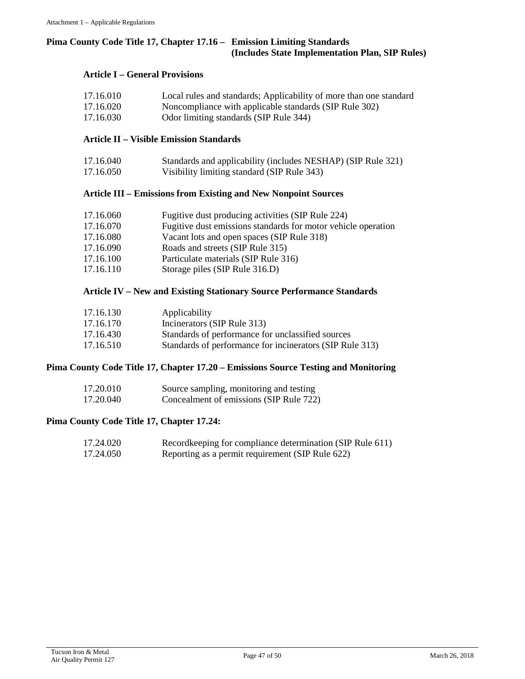#### **Pima County Code Title 17, Chapter 17.16 – Emission Limiting Standards (Includes State Implementation Plan, SIP Rules)**

#### **Article I – General Provisions**

| 17.16.010 | Local rules and standards; Applicability of more than one standard                                      |
|-----------|---------------------------------------------------------------------------------------------------------|
| 17.16.020 | Noncompliance with applicable standards (SIP Rule 302)                                                  |
| 17.17.020 | $\Omega$ 1. $\Omega$ 1. $\Omega$ is equal to 1. $\Omega$ in $\Omega$ . $\Omega$ 1. $\Omega$ 1. $\Omega$ |

17.16.030 Odor limiting standards (SIP Rule 344)

#### **Article II – Visible Emission Standards**

| 17.16.040 | Standards and applicability (includes NESHAP) (SIP Rule 321) |
|-----------|--------------------------------------------------------------|
| 17.16.050 | Visibility limiting standard (SIP Rule 343)                  |

#### **Article III – Emissions from Existing and New Nonpoint Sources**

| 17.16.060 | Fugitive dust producing activities (SIP Rule 224)             |
|-----------|---------------------------------------------------------------|
| 17.16.070 | Fugitive dust emissions standards for motor vehicle operation |
| 17.16.080 | Vacant lots and open spaces (SIP Rule 318)                    |
| 17.16.090 | Roads and streets (SIP Rule 315)                              |
| 17.16.100 | Particulate materials (SIP Rule 316)                          |
| 17.16.110 | Storage piles (SIP Rule 316.D)                                |

### **Article IV – New and Existing Stationary Source Performance Standards**

| 17.16.130 | Applicability                                            |
|-----------|----------------------------------------------------------|
| 17.16.170 | Incinerators (SIP Rule 313)                              |
| 17.16.430 | Standards of performance for unclassified sources        |
| 17.16.510 | Standards of performance for incinerators (SIP Rule 313) |

#### **Pima County Code Title 17, Chapter 17.20 – Emissions Source Testing and Monitoring**

| 17.20.010 | Source sampling, monitoring and testing |
|-----------|-----------------------------------------|
| 17.20.040 | Concealment of emissions (SIP Rule 722) |

#### **Pima County Code Title 17, Chapter 17.24:**

| 17.24.020 | Recordkeeping for compliance determination (SIP Rule 611) |
|-----------|-----------------------------------------------------------|
| 17.24.050 | Reporting as a permit requirement (SIP Rule 622)          |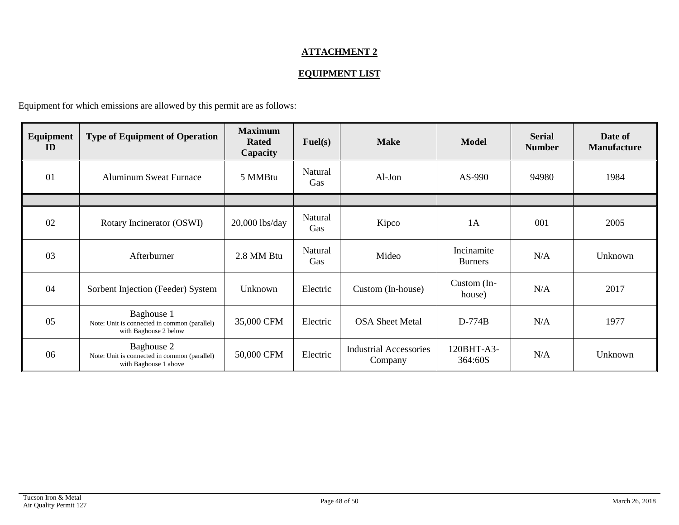## **EQUIPMENT LIST**

Equipment for which emissions are allowed by this permit are as follows:

| Equipment<br>ID | <b>Type of Equipment of Operation</b>                                               | <b>Maximum</b><br><b>Rated</b><br>Capacity | $\text{Full}(s)$ | <b>Make</b>                              | <b>Model</b>                 | <b>Serial</b><br><b>Number</b> | Date of<br><b>Manufacture</b> |
|-----------------|-------------------------------------------------------------------------------------|--------------------------------------------|------------------|------------------------------------------|------------------------------|--------------------------------|-------------------------------|
| 01              | <b>Aluminum Sweat Furnace</b>                                                       | 5 MMBtu                                    | Natural<br>Gas   | $Al-Jon$                                 | AS-990                       | 94980                          | 1984                          |
|                 |                                                                                     |                                            |                  |                                          |                              |                                |                               |
| 02              | Rotary Incinerator (OSWI)                                                           | $20,000$ lbs/day                           | Natural<br>Gas   | Kipco                                    | 1A                           | 001                            | 2005                          |
| 03              | Afterburner                                                                         | 2.8 MM Btu                                 | Natural<br>Gas   | Mideo                                    | Incinamite<br><b>Burners</b> | N/A                            | Unknown                       |
| 04              | Sorbent Injection (Feeder) System                                                   | Unknown                                    | Electric         | Custom (In-house)                        | Custom (In-<br>house)        | N/A                            | 2017                          |
| 05              | Baghouse 1<br>Note: Unit is connected in common (parallel)<br>with Baghouse 2 below | 35,000 CFM                                 | Electric         | <b>OSA Sheet Metal</b>                   | $D-774B$                     | N/A                            | 1977                          |
| 06              | Baghouse 2<br>Note: Unit is connected in common (parallel)<br>with Baghouse 1 above | 50,000 CFM                                 | Electric         | <b>Industrial Accessories</b><br>Company | 120BHT-A3-<br>364:60S        | N/A                            | Unknown                       |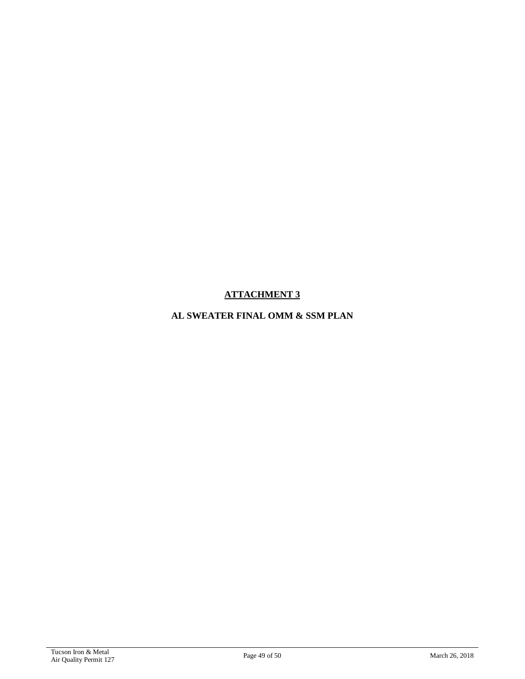# **AL SWEATER FINAL OMM & SSM PLAN**